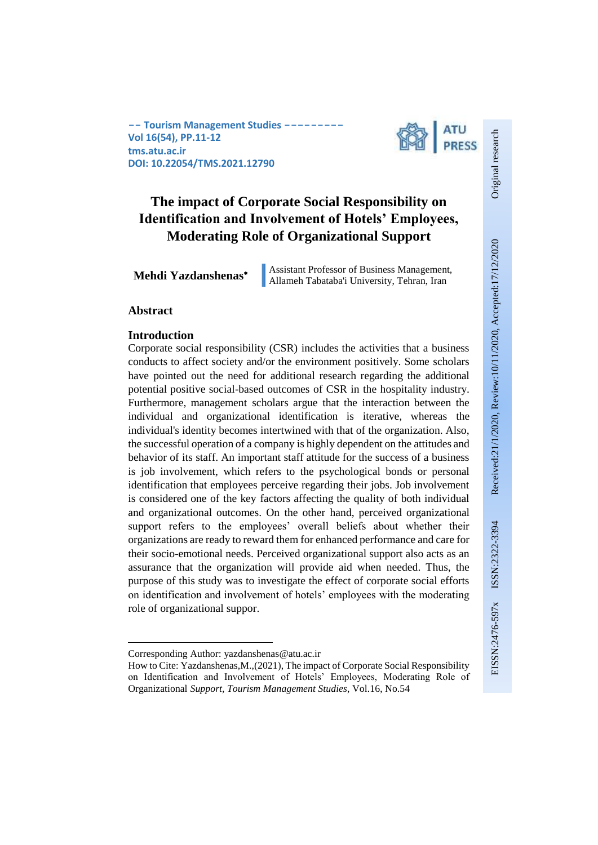

# **The impact of Corporate Social Responsibility on Identification and Involvement of Hotels' Employees, Moderating Role of Organizational Support**

**Mehdi Yazdanshenas<sup>\*</sup>** Assistant Professor of Business Management, Allameh Tabataba'i University, Tehran, Iran

### **Abstract**

1

### **Introduction**

Corporate social responsibility (CSR) includes the activities that a business conducts to affect society and/or the environment positively. Some scholars have pointed out the need for additional research regarding the additional potential positive social-based outcomes of CSR in the hospitality industry. Furthermore, management scholars argue that the interaction between the individual and organizational identification is iterative, whereas the individual's identity becomes intertwined with that of the organization. Also, the successful operation of a company is highly dependent on the attitudes and behavior of its staff. An important staff attitude for the success of a business is job involvement, which refers to the psychological bonds or personal identification that employees perceive regarding their jobs. Job involvement is considered one of the key factors affecting the quality of both individual and organizational outcomes. On the other hand, perceived organizational support refers to the employees' overall beliefs about whether their organizations are ready to reward them for enhanced performance and care for their socio-emotional needs. Perceived organizational support also acts as an assurance that the organization will provide aid when needed. Thus, the purpose of this study was to investigate the effect of corporate social efforts on identification and involvement of hotels' employees with the moderating role of organizational suppor.

Original research

Corresponding Author: yazdanshenas@atu.ac.ir

How to Cite: Yazdanshenas,M.,(2021), The impact of Corporate Social Responsibility on Identification and Involvement of Hotels' Employees, Moderating Role of Organizational *Support, Tourism Management Studies*, Vol.16, No.54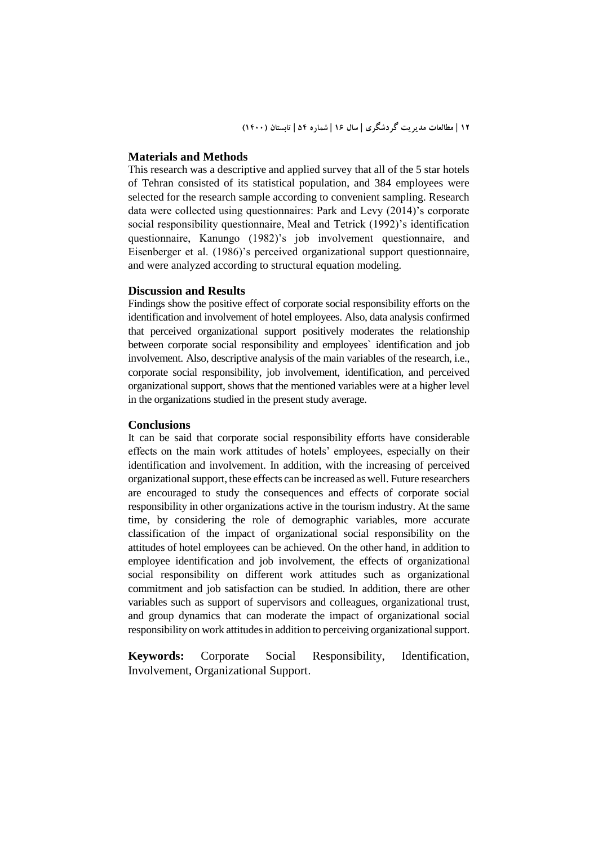#### **Materials and Methods**

This research was a descriptive and applied survey that all of the 5 star hotels of Tehran consisted of its statistical population, and 384 employees were selected for the research sample according to convenient sampling. Research data were collected using questionnaires: Park and Levy (2014)'s corporate social responsibility questionnaire, Meal and Tetrick (1992)'s identification questionnaire, Kanungo (1982)'s job involvement questionnaire, and Eisenberger et al. (1986)'s perceived organizational support questionnaire, and were analyzed according to structural equation modeling.

### **Discussion and Results**

Findings show the positive effect of corporate social responsibility efforts on the identification and involvement of hotel employees. Also, data analysis confirmed that perceived organizational support positively moderates the relationship between corporate social responsibility and employees` identification and job involvement. Also, descriptive analysis of the main variables of the research, i.e., corporate social responsibility, job involvement, identification, and perceived organizational support, shows that the mentioned variables were at a higher level in the organizations studied in the present study average.

#### **Conclusions**

It can be said that corporate social responsibility efforts have considerable effects on the main work attitudes of hotels' employees, especially on their identification and involvement. In addition, with the increasing of perceived organizational support, these effects can be increased as well. Future researchers are encouraged to study the consequences and effects of corporate social responsibility in other organizations active in the tourism industry. At the same time, by considering the role of demographic variables, more accurate classification of the impact of organizational social responsibility on the attitudes of hotel employees can be achieved. On the other hand, in addition to employee identification and job involvement, the effects of organizational social responsibility on different work attitudes such as organizational commitment and job satisfaction can be studied. In addition, there are other variables such as support of supervisors and colleagues, organizational trust, and group dynamics that can moderate the impact of organizational social responsibility on work attitudes in addition to perceiving organizational support.

**Keywords:** Corporate Social Responsibility, Identification, Involvement, Organizational Support.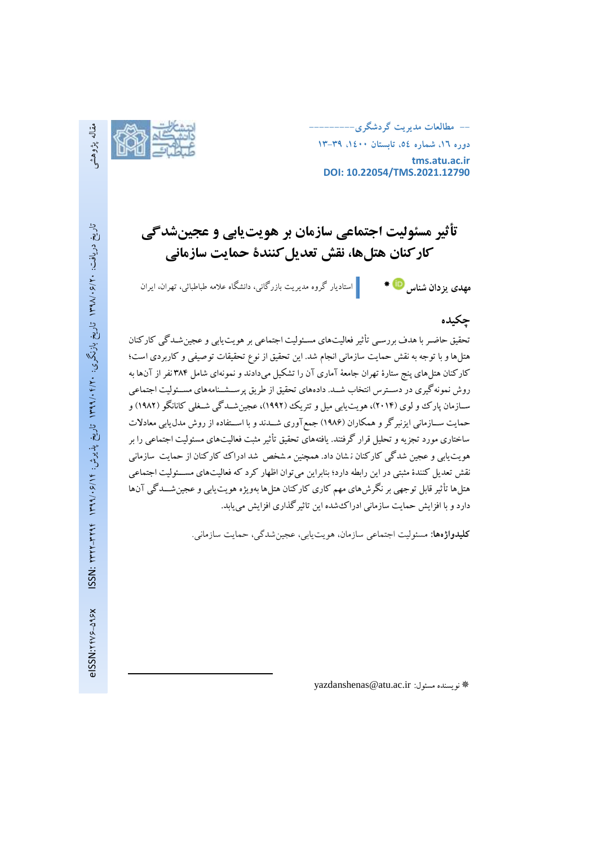**-- مطالعات مديريت گردشگري---------**

**دوره ،16 شماره ،54 تابستان ،1400 13-39 tms.atu.ac.ir DOI: 10.22054/TMS.2021.12790**

# **تأثیر مسئولیت اجتماعی سازمان بر هویتیابی و عجینشدگی کارکنان هتلها، نقش تعدیلکنندة حمایت سازمانی**

گروه مدیریت بازرگانی، دانشگاه عالمه طباطبائی، تهران، ایراناستادیار **مهدي يزدان شناس**

# **چكیده**

تحقيق حاضـر با هدف بررسـي تأثير فعاليتهای مسـئوليت اجتماعي بر هويت1يابي و عجينشـدگي کارکنان هتلهاو با توجه بهنقش حمايت سازماني انجام شد . اين تحقيق از نوع تحقيقات توصيفي و کاربردی است؛ کارکنان هتلهای پنج ستارۀ تهران جامعة آماری آن را تشکيل ميدادند ونمونهای شامل 38۴ نفراز آنها به روش نمونه گيري در دســترس انتخاب شــد. دادههای تحقيق از طريق پرســشــنامههای مســئوليت اجتماعي ســازمان پارک وو لوی (۲۰۱۴)، هويت يابي ميل و تتريک (۱۹۹۲)، عجين شــدگي شــغلي کانانگو (۱۹۸۲) و حمايت ســازماني ايزنبرگر و همکاران (۱۹۸۶) جمع آوري شــدند و با اســتفاده از روش مدل1يابي معادلات ساختاری مورد تجزيهو تحليل قرار گرفتند. يافتههای تحقيق تأثيرمثبت فعاليتهای مس ئوليت اجتماعي را بر هويتيابي و عجين شدگي کارکنان ن شان داد. همچنين م شخص شد ادراک کارکنان از حمايت سازماني نقش تعديل کنندۀ مثبتي در اين رابطه دارد؛ بنابراين مي توان اظهار کرد که فعاليتهای مســـئوليت اجتماعي هتلها تأثير قابل توجهي بر نگرشهای مهم کاری کارکنان هتلها بهويژه هويت<code>يابي</code> و عجين شـــدگي آنها داردوبا افزايش حمايت سازماني ادراکشده اين تاثيرگذاری افزايش مييابد.

**کلیدواژهها:** مسئولیت اجتماعی سازمان، هویتیابی، عجینشدگی، حمایت سازمانی.

1

yazdanshenas@atu.ac.ir :مسئول نويسنده

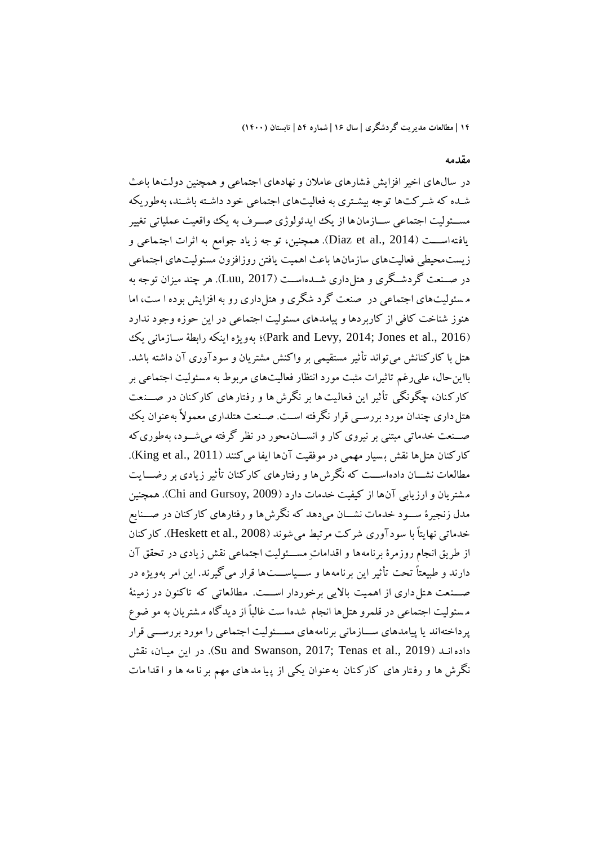### **مقدمه**

در سال های اخير افزايش ف شارهای عامالن و نهادهای اجتماعي و همچنين دولتها باعث شده که شـرکتها توجه بيشـتری به فعاليتهای اجتماعي خود داشـته باشـند، بهطوريکه مســئوليت اجتماعي ســـازمانها از يک ايدئولوژي صـــرف به يک وواقعيت عملياتي تغيير يافته<code>اســـت</code> (2014 .,Diaz et al.). همچنين، تو جه ز ياد جوامع به اثرات اجتماعي و زيستمحيطي فعاليتهای سازمانها باعث اهميت يافتن روزافزون مسئوليتهای اجتماعي در صـنعت گردشـگری و هتل داری شــدهاســت (Luu, 2017). هر چند ميزان توجه به م سئوليتهای اجتماعي در صنعت گرد شگری و هتل داری رو به افزايش بوده ا ست، اما هنوز شناخت کافي از کاربردها و پيامدهای مسئوليت اجتماعي در اين حوزه وجود ندارد ور بنكه رابطهٔ سبازماني يك (Park and Levy, 2014; Jones et al., 2016)؛ به ويژه اينکه رابطهٔ سبازماني يک هتل با کارکنانش ميتواند تأثير مستقيمي بر واکنش مشتريان و سودآوری آن داشته باشد. بااينحال، عليرغم تاثيرات مثبت مورد انتظار فعاليتهای مربوط به م سئوليت اجتماعي بر کارکنان، چگونگی تأثير اين فعاليت ها بر نگرش ها و رفتارهای کارکنان در صـــنعت هتل داری چندان مورد بررسبی قرار نگرفته است. صنعت هتلداری معمولاً به عنوان یک صه نعت خدماتي مبتني بر نيروي کار و انســانمحور در نظر گرفته مي شــود، بهطوری که کارکنان هتلها نقش بسيار مهمي در موفقيت آنها ايفا ميکنند (King et al., 2011). مطالعات نشـــان دادهاســـت که نگرش ها و رفتارهای کارکنان تأثير زيادی بر رضــــايت م شتريان و ارزيابي آن ها از کيفيت خدمات دارد )2009 ,Gursoy and Chi). همچنين مدل زنجيرۀ ســـود خدمات نشــــان مي دهد که نگرش ها و رفتارهای کارکنان در صــــنايع خدماتي نهايتاً با سود آوري شركت مرتبط مي شوند (Heskett et al., 2008). کارکنان از طريق انجام روزمرۀ برنامهها و اقدامات مسئوليت اجتماعي نقش زيادي در تحقق آن دارند و طبيعتاً تحت تأثير اين برنامه ها و ســياســـت ها قرار مي گيرند. اين امر بهويژه در صــنعت هتل داری از اهميت بالايي برخوردار اســـت. مطالعاتي که تاکنون در زمينهٔ م سئوليت اجتماعي در قلمرو هتلها انجام شده ا ست غالبا از ديدگاه م شتريان به مو ضوع پرداخته اند يا پيامدهای ســـازماني برنامههای مســـئوليت اجتماعي را مورد بررســـي قرار داده انيد (Su and Swanson, 2017; Tenas et al., 2019). در اين ميان، نقش نگرش ها و رف تار های کارک نان به عنوان يکي از پ يا مد های مهم بر نا مه ها و ا قدا مات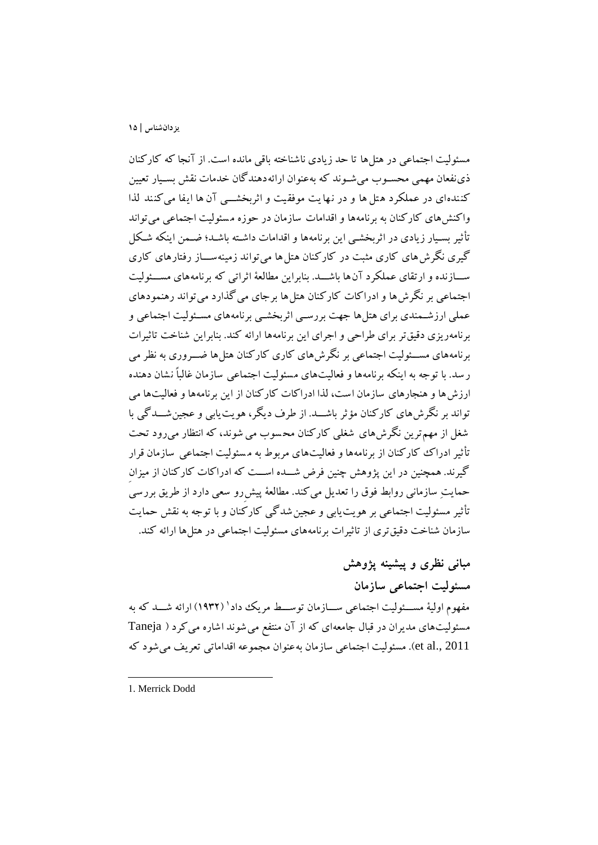مسئوليت اجتماعي در هتلها تا حد زيادی ناشناخته باقي مانده است. از آنجا که کارکنان ذي نفعان مهمي محسـوب مي شـوند که بهعنوان ارائهدهندگان خدمات نقش بسـيار تعيين کننده ای در عملکرد ه تل ها و در نها يت موفقيت و اثربخشـــي آن ها ايفا مي کنند لذا واکنشهای کارکنان به برنامهها و اقدامات سازمان در حوزه م سئوليت اجتماعي ميتواند تأثير بسـيار زيادی در اثربخشـي اين برنامهها و اقدامات داشـته باشـد؛ ضـمن اينکه شـکل گيری نگرش های کاری مثبت در کارکنان هتل ها میتواند زمينه ســاز رفتارهای کاری ســـازنده و ارتقای عملکرد آن ها باشـــد. بنابراين مطالعهٔ اثراتي که برنامه های مســـئوليت اجتماعي بر نگرشها و ادراکات کارکنان هتل ها برجای ميگذارد ميتواند رهنمودهای عملي ارزشمندی برای هتلها جهت بررسبي اثربخشبي برنامههای مسـئوليت اجتماعي و برنامهريزی دقيقتر برای طراحي و اجرای اين برنامهها ارائه کند. بنابراين شناخت تاثي رات برنامههای مســئوليت اجتماعي بر نگرشهای کاری کارکنان هتل۵ها ضـــروری به نظر می ر سد. با توجه به اينکه برنامهها و فعاليتهای مسئوليت اجتماعي سازمان غالباً نشان دهنده ارزشها و هنجارهای سازمان است، لذا ادراکات کارکنان از اين برنامهها و فعاليتها مي تواند بر نگرشهای کارکنان مؤثر باشــد. از طرف ديگر، هويت يابي و عجين شـــدگي با شغل از مهم ترين نگرشهای شغلي کارکنان محسوب مي شوند، که انتظار مي رود تحت تأثير ادراک ککارکنان از برنامهها و فعاليتهای مربوط به مسئوليت اجتماعي سازمان قرار گيرند. همچنين در اين پژوهش چنين فرض شـــده اســـت که ادراکات کارکنان از ميزان حمايتِ سازماني روابط فوق را تعديل ميکند. مطالعة پيش رو سعي دارد از طريق بررسي تأثير مسئوليت اجتماعي بر هويت يابي و عجين شدگي کارکنان و با توجه به نقش حمايت سازمان شناخت دقيقتری از تاثيرات برنامههای مسئوليت اجتماعي در هتلها ارائه کند.

**مباني نظري و پیشینه پژوهش مسئولیت اجتماعي سازمان** مفهوم اوليهٔ مســـئوليت اجتماعي ســــازمان توســــط مريک داد' (۱۹۳۲) ارائه شــــد که به مسئوليتهای مديران در قبال جامعهای که از آن منتفع مي شوند اشاره مي کرد ( Taneja 2011 .,al et). مسئوليت اجتماعي سازمان به عنوان مجموعه اقداماتي تعريف ميشود که

1. Merrick Dodd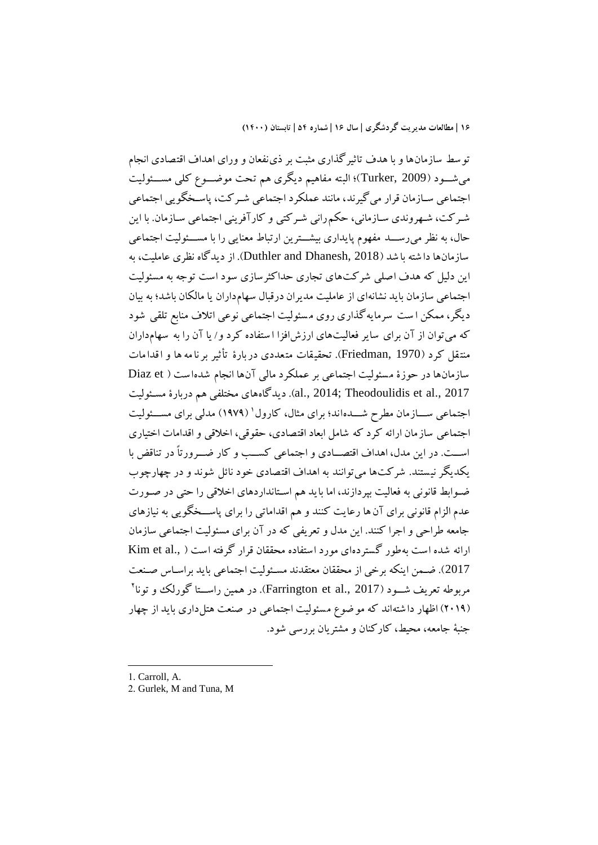توسط سازمان ها و با هدف تاثيرگذاری مثبت بر ذینفعان و ورای اهداف اقتصادی ا نجام مي شـود (Turker, 2009)؛ البته مفاهيم ديگري هم تحت موضـوع کلي مســـئوليت اجتماعي سـازمان قرار مي گيرند، مانند عملکرد اجتماعي شـر کت، پاسـخگويي اجتماعي شـرکت، شـهروندی سـازماني، حکم٫راني شـرکتي و کارآفريني اجتماعي سـازمان. با اين حال، به نظر مي رســـد مفهوم پايداري بيشـــترين ارتباط معنايي را با مســـئوليت اجتماعي سازمان ها دا شته با شد ) 2018 ,Dhanesh and Duthler). از ديدگاه نظری عامليت، به اين دليل که هدف اصلي شرکت های تجاری حداکثرسازی سود است توجه به مسئوليت اجتماعي سازمان بايد نشانهای از عامليت مديران درقبال سهامداران يا مالکان باشد؛ به بيان ديگر، ممکن ا ست سرما يهگذاری روی م سئوليت اجتماعي نوعي اتالف منابع تلقي شود که ميتوان از آن برای ساير فعاليتهای ارزشافزا ا ستفاده کرد و/ يا آن را به سهام داران منتقل کرد (Friedman, 1970). تحقيقات متعددی دربارۀ تأثير بر نامه ها و اقدامات سازمانها در حوزۀ مسئوليت اجتماعي بر عملكرد مالي آنها انجام شده است ( Diaz et 2017 .al., 2014; Theodoulidis et al). ديدگاههای مختلفي هم دربارۀ مسـئوليت اجتماعی ســـازمان مطرح شــــداند؛ برای مثال، کارول` (۱۹۷۹) مدلی برای مســـئوليت اجتماعي ساز مان ارائه کرد که شامل ابعاد اقتصادی، حقوقي، اخالقي و اقدامات اختياری اســت. در اين مدل، اهداف اقتصـــادی و اجتماعي کســب و کار ضـــرورتاً در تناقض با يکديگر نيستند. شرکت ها ميتوانند به اهداف اقتصادی خود نائل شوند و در چهارچوب ضووابط قانوني به فعاليت بپردازند، اما بايد هم اسوتانداردهای اخالقي را حتي در صوورت عدم الزام قانوني برای آن ها رعايت کنند و هم اقداماتي را برای پاســخگويي به نيازهای جامعه طراحي و اجرا کنند. اين مدل و تعريفي که در آن برای مسئوليت اجتماعي سازمان ارائه شده است به طور گستردهای مورد استفاده محققان قرار گرفته است ( .Kim et al 2017). ضمن اينکه برخي از محققان معتقدند مسئوليت اجتماعي بايد براساس صنعت مربوطه تعريف شـــود (2017 .Farrington et al,). در همين راســـتا گورلک و تونا<sup>۲</sup> )2019( اظهار دا شته اند که مو ضوع م سئوليت اجتماعي در صنعت هتلداری بايد از چهار جنبة جامعه، محيط، کارکنان و مشتريان بررسي شود.

1. Carroll, A.

-

2. Gurlek, M and Tuna, M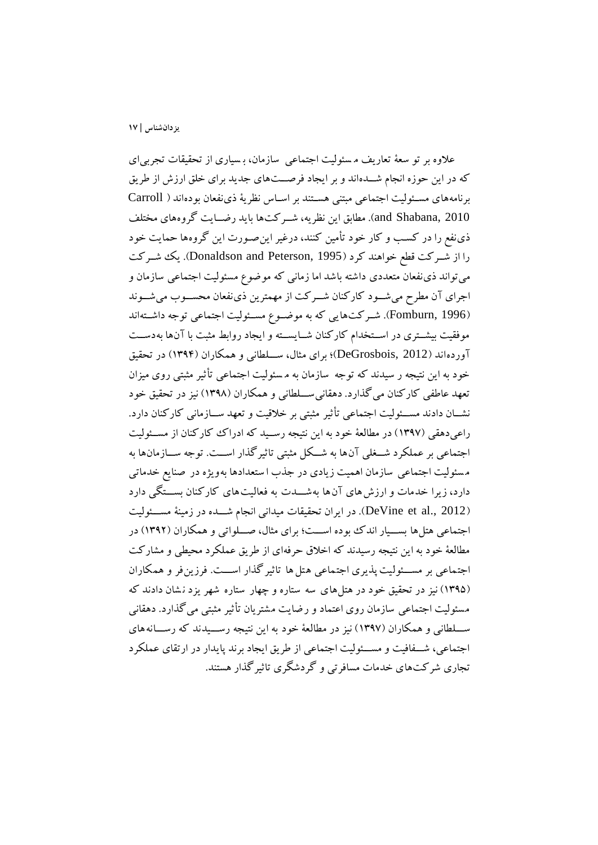عالوه بر تو سعة تعاريف م سئوليت اجتماعي سازمان، ب سياری از تحقيقات تجربي ای که در اين حوزه انجام شـــدهاند و بر ايجاد فرصـــتهای جديد برای خلق ارزش از طريق برنامههای مسوئوليت اجتماعي مبتني هسوتند بر اسواس نظرية ذینفعان بودهاند ) Carroll and Shabana, 2010). مطابق اين نظريه، شــرکت\$ا بايد رضــايت گروههای مختلف ذینفع را در کسب و کار خود تأمين کنند، درغير اين صـورت اين گروهها حمايت خود را از شوورکت قطع خواهند کرد )1995 ,Peterson and Donaldson). يک شوورکت ميتواند ذینفعان متعددی داشته باشد اما زماني که موضوع مسئوليت اجتماعي سازمان و اجرای آن مطرح مي شود کارکنان شــرکت از مهمترين ذینفعان محســوب مي شــوند (Fomburn, 1996). شركتهايي كه به موضوع مسئوليت اجتماعي توجه داشتهاند موفقيت بيشــتری در اســتخدام کارکنان شــايســته و ايجاد روابط مثبت با آنها بهدســت آوردهاند ) 2012 ,DeGrosbois)؛ برای مثال، سووولطاني و همکاران ) 139۴( در تحقيق خود به اين نتيجه ر سيدند که توجه سازمان به م سئوليت اجتماعي تأثير مثبتي روی ميزان تعهد عاطفي کارکنان مي گذارد. دهقاني ســـلطاني و همکاران (١٣٩٨) نيز در تحقيق خود نشــان دادند مســئوليت اجتماعي تأثير مثبتي بر خلاقيت و تعهد ســـازماني کارکنان دارد. راعي دهقي (۱۳۹۷) در مطالعهٔ خود به اين نتيجه رسـيد که ادراک کارکنان از مسـئوليت اجتماعي بر عملکرد شــغلي آنها به شــکل مثبتي تاثيرگذار اســت. توجه ســازمانها به مسئوليت اجتماعي سازمان اهميت زيادي در جذب ا ستعدادها بهويژه در صنايع خدماتي دارد، زيرا خدمات و ارزش های آن ها به شـــدت به فعاليت های کارکنان بســـتگي دارد (DeVine et al., 2012). در ايران تحقيقات ميداني انجام شـــده در زمينة مســـئوليت اجتماعي هتلها بســيار اندک بوده اســت؛ براي مثال، صــلواتي و همکاران (١٣٩٢) در مطالعة خود به اين نتيجه رسيدند که اخالق حرفهای از طريق عملکرد محيطي و مشارکت اجتماعي بر مســـئوليت پذيری اجتماعي هتل ها تاثير گذار اســـت. فرزينفر و همکاران (۱۳۹۵) نيز در تحقيق خود در هتلهای سه ستاره و چهار ستاره شهر يزد نشان دادند که مسئوليت اجتماعي سازمان روی اعتماد و رضايت مشتريان تأثير مثبتي ميگذارد. دهقاني ســلطاني و همکاران (۱۳۹۷) نيز در مطالعهٔ خود به اين نتيجه رســـيدند که رســـانههاي اجتماعي، شـفافيت و مســـئوليت اجتماعي از طريق ايجاد برند پايدار در ارتقاي عملكرد تجاری شرکتهای خدمات مسافرتي و گردشگری تاثيرگذار هستند.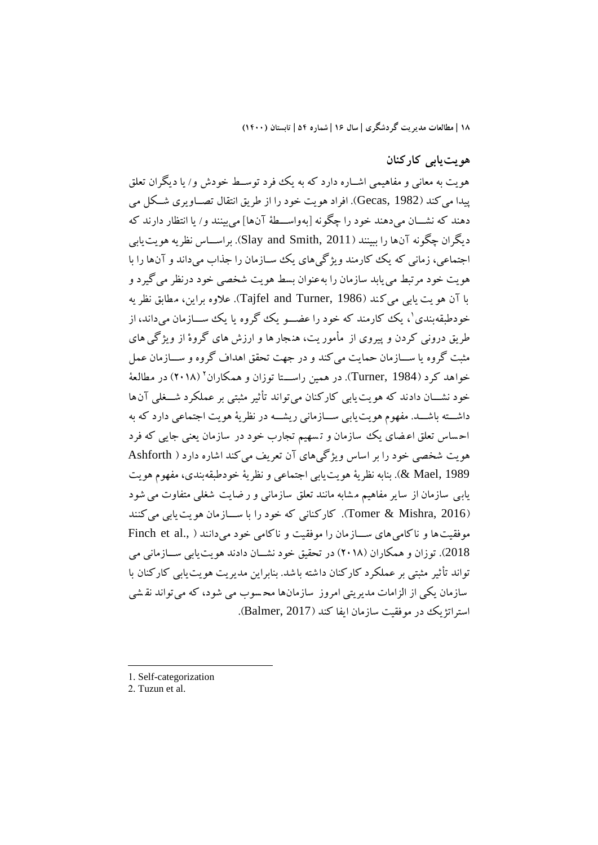# **هويتيابي کارکنان**

هويت به معاني و مفاهيمي اشـــاره دارد که به يک فورد توســط خودش و/ يا ديگران تعلق پيدا مي کند (Gecas, 1982). افراد هويت خود را از طريق انتقال تصــاويری شــکل مي دهند که نشـــان مي.دهند خود را چگونه [بهواســـطهٔ آنها] مي.بينند و/ يا انتظار دارند که ديگران چگونه آنها را ببينند (Slay and Smith, 2011). براســاس نظريه هويت يابي اجتماعي، زماني که يک کارمند ويژگي هاي يک سـازمان را جذاب مي داند و آنها را با هويت خود مرتبط مييابد سازمان را به عنوان بسط هويت شخصي خود درنظر مي گيرد و با آن هو يت يابي ميكند (Tajfel and Turner, 1986). علاوه براين، مطابق نظر يه خودطبقهبندی'، یک کارمند که خود را عضـــو یک گروه یا یک ســـازمان میداند، از طريق دروني کردن و پيروی از مأموريت، هنجار ها و ارزش های گروهْ از ويژگي های مثبت گروه يا ســــازمان حمايت مي کند و در جهت تحقق اهداف گروه و ســــازمان عمل خواهد کرد (Turner, 1984). در همین راســـتا توزان و همکاران<sup>٬</sup> (۲۰۱۸) در مطالعهٔ خود نشـــان دادند که هويت يابي کارکنان مي تواند تأثير مثبتي بر عملکرد شـــغلي آنها داشـــته باشـــد. مفهوم هو يت يابي ســــازماني ريشــــه در نظرية هويت اجتماعي دارد که به اح ساس تعلق اع ضای يک سازمان و ت سهيم تجارب خود در سازمان يعني جايي که فرد هويت شخصي خود را بر اساس ويژگيهای آن تعريف ميکند اشاره دارد ) Ashforth 1989 ,Mael)& . بنابه نظرية هويتيابي اجتماعي و نظرية خودطبقهبندی، مفهوم هويت يابي سازمان از ساير مفاهيم مشابه مانند تعلق سازماني و ر ضايت شغلي متفاوت مي شود )2016 ,Mishra & Tomer). کارکناني که خود را با سوووازمان هوي تي ابي ميکنند موفقيت ها و ناکامي هاي سـازمان را موفقيت و ناکامي خود مي دانند ( ,Finch et al 2018). توزان و همکاران (٢٠١٨) در تحقيق خود نشــان دادند هويت يابي ســـازماني مي تواند تأثير مثبتي بر عملکرد کارکنان داشته باشد. بنابراين مديريت هويتيابي کارکنان با سازمان يکي از الزامات مديريتي امروز سازمان ها مح سوب مي شود ، که ميتواند نق شي استراتژيک در موفقيت سازمان ايفا کند )2017 ,Balmer).

- 1. Self-categorization
- 2. Tuzun et al.

-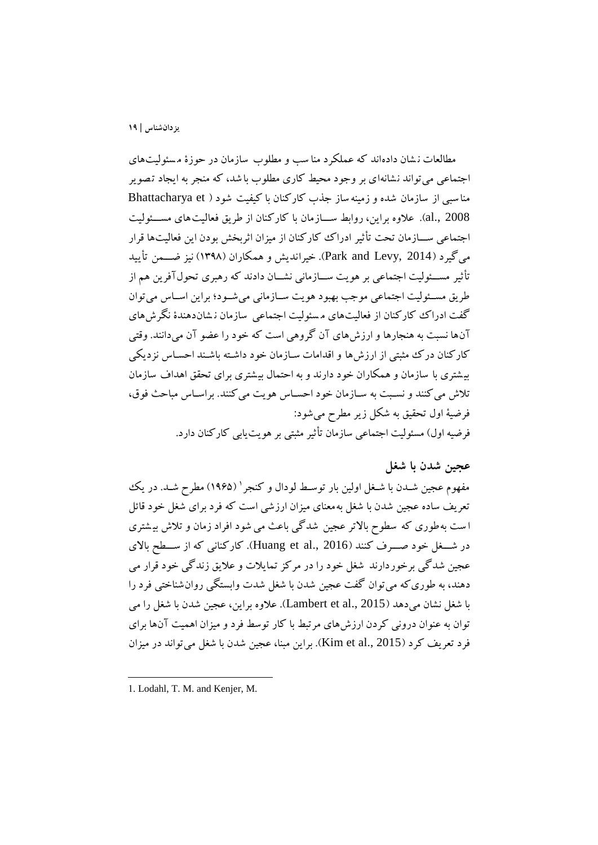مطالعات ن شان دادهاند که عملکرد منا سب و مطلوب سازمان در حوزۀ مسئوليتهای اجتماعي مي تواند نشانهاي بر وجود محيط کاري مطلوب با شد، که منجر به ايجاد تصوير منا سبي از سازمان شده و زمينه ساز جذب کارکنان با کيفيت شود ) et Bhattacharya 2008 .al). علاوه براين، روابط ســـازمان با كاركنان از طريق فعاليت هاى مســـئوليت اجتماعي ســـازمان تحت تأثير ادراک کارکنان از ميزان اثربخش بودن اين فعاليتها قرار مي گيرد (Park and Levy, 2014). خيرانديش و همکاران (١٣٩٨) نيز ضـــمن تأييد تأثير مســئوليت اجتماعي بر هويت ســـازماني نشـــان دادند که رهبری تحولآفرين هم از طريق مسـئوليت اجتماعي موجب بهبود هويت سـازماني مي شـود؛ براين اسـاس مي توان گفت ادراک کارکنان از فعاليتهای م سئوليت اجتماعي سازمان ن شان دهندۀ نگرشهای آنها نسبت به هنجارها و ارزشهای آن گروهي است که خود را عضو آن ميدانند. وقتي کارکنان درک مثبتي از ارزش ها و اقدامات سـازمان خود داشـته باشـند احسـاس نزديکي بي شتری با سازمان و همکاران خود دارند و به احتمال بي شتری برای تحقق اهداف سازمان تلاش مي کنند و نسـبت به سـازمان خود احسـاس هويت مي کنند. براسـاس مباحث فوق، فرضية اول تحقيق به شکل زير مطرش ميشود: فرضيه اول) مسئوليت اجتماعي سازمان تأثير مثبتي بر هويت يابي کارکنان دارد.

### **عجین شدن با شغل**

مفهوم عجین شــدن با شــغل اولین بار توســط لودال و کنجر ` (۱۹۶۵) مطرح شــد. در یک تعريف ساده عجين شدن با شیل به معنای ميزان ارزشي است که فرد برای شیل خود قائل ا ست به طوری که سطوح بالاتر عجين شدگي باعث مي شود افراد زمان و تلاش بيشتری در شــغل خود صـــرف کنند (Huang et al., 2016). کارکناني که از ســطح بالای عجين شدگي برخوردارند شغل خود را در مرکز تمايلات و علايق زندگي خود قرار مي دهند، به طوری که مي توان گفت عجين شدن با شغل شدت وابستگي روان شناختي فرد را با شیل نشان ميدهد )2015 .,al et Lambert). عالوه براين، عجين شدن با شیل را مي توان به عنوان دروني کردن ارزشهای مرتبط با کار توسط فرد و ميزان اهميت آنها برای فرد تعريف کرد )2015 .,al et Kim). براين مبنا، عجين شدن با شیل ميتواند در ميزان

<sup>1.</sup> Lodahl, T. M. and Kenjer, M.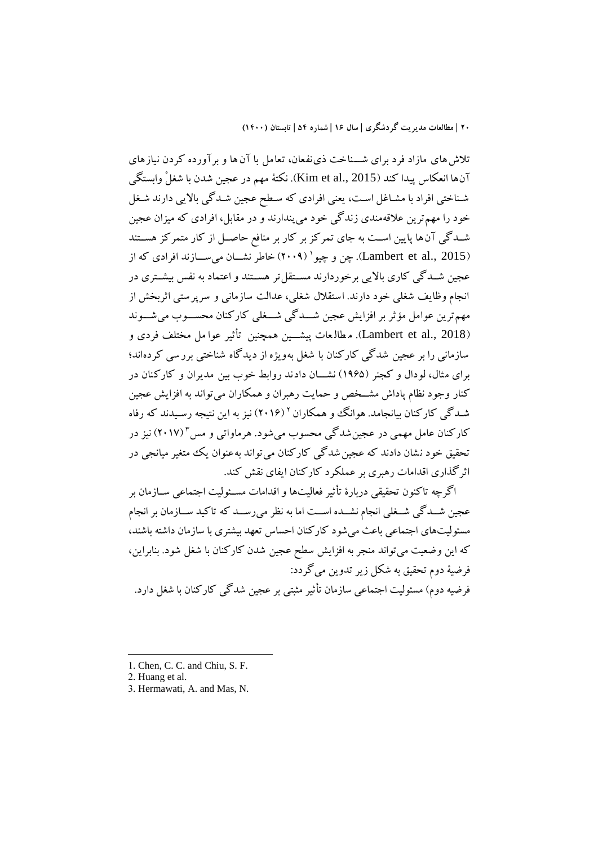تلاش های مازاد فرد برای شـــناخت ذی نفعان، تعامل با آن ها و بر آورده کردن نيازهای آنها انعکاس پيدا کند (2015 .Kim et al). نکتهٔ مهم در عجين شدن با شغلْ وابستگي شناختي افراد با مشاغل است، يعني افرادي که سطح عجين شـدگي بالايي دارند شـغل خود را مهمترين عالقه مند ی زندگي خود ميپندارند و در مقابل، افرادی که ميزان عجين شـدگي آنها پايين اسـت به جاي تمرکز بر کار بر منافع حاصـل از کار متمرکز هسـتند (Lambert et al., 2015). چن و چیو' (۲۰۰۹) خاطر نشــان میســـازند افرادی که از عجين شــدگي کاري بالايي برخوردارند مســتقل تر هســتند و اعتماد به نفس بيشــتری در انجام وظايف شیلي خود دارند. استقالل شیلي، عدالت سازماني و سرپرستي اثربخش از مهمترين عوامل مؤثر بر افزايش عجين شـــدگي شـــغلي کارکنان محســـوب مي شــــوند (Lambert et al., 2018). مطالعات پيشــين همچنين تأثير عوا مل مختلف فردی و سازماني را بر عجين شدگي کارکنان با شیل به ويژه از ديدگاه شناختي بررسي کردهاند؛ برای مثال، لودال و کجنر (۱۹۶۵) نشـــان دادند روابط خوب بين مديران و کارکنان در کنار وجود نظام پاداش مشـخص و حمايت رهبران و همکاران مي تواند به افزايش عجين شـدگی کارکنان بیانجامد. هوانگ وو همکاران ' (۲۰۱۶) نیز به این نتیجه رسـیدند که رفاه کارکنان عامل مهمی در عجین شدگی محسوب میشود. هرماواتی و مس۲(۲۰۱۷) نیز در تحقيق خود نشان دادند که عجين شدگي کارکنان مي تواند بهعنوان يک متغير ميانجي در اثرگذاری اقدامات رهبری بر عملکرد کارکنان ايفای نقش کند.

اگرچه تاکنون تحقيقي دربارۀ تأثير فعاليتها و اقدامات مسـئوليت اجتماعي ســازمان بر عجين شـــدگي شـــغلي انجام نشـــده اســـت اما به نظر ميرســـد که تاکيد ســـازمان بر انجام مسئوليتهای اجتماعي باعث ميشود کارکنان احساس تعهد بيشتری با سازمان داشته باشند، که اين وضعيت ميتواند منجر به افزايش سطح عجين شدن کارکنان با شیل شود. بنابراين، فرضية دوم تحقيق به شکل زير تدوين ميگردد: فرضيه دوم) مسئوليت اجتماعي سازمان تأثير مثبتي بر عجين شدگي کارکنان با شغل دارد.

**.** 

<sup>1.</sup> Chen, C. C. and Chiu, S. F.

<sup>2.</sup> Huang et al.

<sup>3.</sup> Hermawati, A. and Mas, N.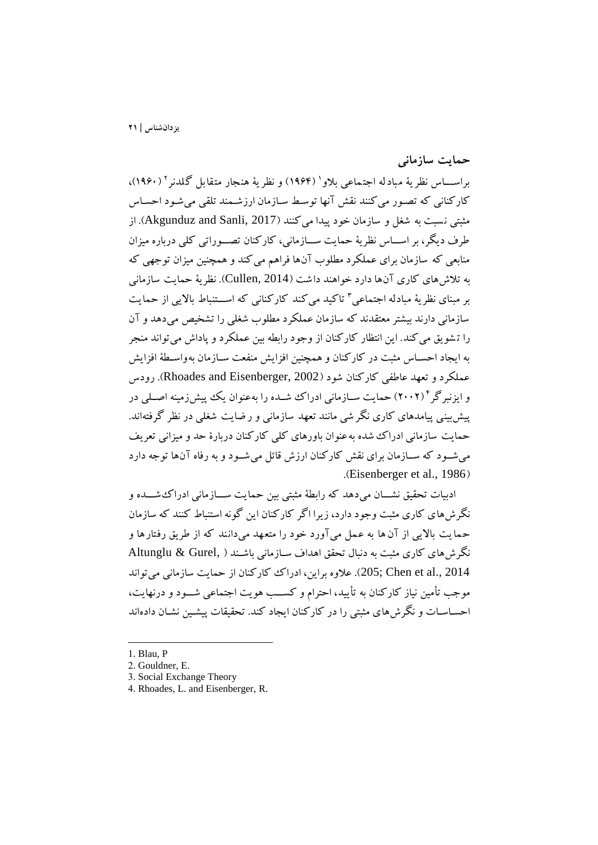**حمايت سازماني**

براســــاس نظر يهٔ مبادله اجتماعي بلاو` (۱۹۶۴) و نظر يهٔ هنجار متقابل گلدنر ` (۱۹۶۰)، کارکناني که تصور مي کنند نقش آنها توسط سازمان ارزشمند تلقي مي شـود احسـاس مثبتي نسبت به شغل و سازمان خود پيدا مي کنند (Akgunduz and Sanli, 2017). از طرف ديگر، بر اســـاس نظريهٔ حمايت ســـازماني، کارکنان تصـــوراتي کلي درباره ميزان منابعي که سازمان برای عملکرد مطلوب آن ها فراهم ميکند و همچنين ميزان توجهي که به تالشهای کاری آنها دارد خواهند داشت ) 2014 ,Cullen). نظرية حمايت سازماني بر مبنای نظریهٔ مبادله اجتماعی <sup>۲</sup> تاکید میکند کارکنانی که اســتنباط بالایی از حمایت سازماني دارند بيشتر معتقدند که سازمان عملکرد مطلوب شیلي را تشخيص مي دهد و آن را ت شويق ميکند. اين انتظار کارکنان از وجود رابطه بين عملکرد و پاداش ميتواند منجر به ايجاد احسـاس مثبت در کارکنان و همچنين افزايش منفعت سـازمان بهواسـطهٔ افزايش عملکرد و تعهد عاطفي کارکنان شود ) 2002 ,Eisenberger and Rhoades). رودس و ايزنبرگر<sup>۱</sup> (۲۰۰۲) حمايت ســازماني ادراک شــده را بهعنوان يک پيشiومينه اصــلي در پيشبيني پيامدهای کاری نگر شي مانند تعهد سازماني و ر ضايت شیلي در نظر گرفتهاند. حمايت سازماني ادراک شده به عنوان باورهای کلي کارکنان دربارۀ حد و ميزاني تعريف مي شـود که ســازمان براي نقش کارکنان ارزش قائل مي شــود و به رفاه آنها توجه دارد .(Eisenberger et al., 1986)

ادبيات تحقيق نشـــان ميدهد که رابطهٔ مثبتي بين حمايت ســـازماني ادراک شــــده و نگرشهای کاری مثبت وجود دارد، زيرا اگر کارکنان اين گونه استنباط کنند که سازمان حمايت بااليي از آن ها به عمل ميآورد خود را متعهد ميدانند که از طريق رفتارها و نگرش های کاری مثبت به دنبال تحقق اهداف سـازمانی باشـند ( .Altunglu & Gurel 2014 .,al et Chen; 205). عالوه براين، ادراک کارکنان از حمايت سازماني ميتواند موجب تأمين نياز کارکنان به تأييد، احترام و کســب هويت اجتماعي شـــود و درنهايت، احسـاسـات و نگر ش های مثبتي را در کارکنان ايجاد کند. تحقيقات پيشـين نشـان دادهاند

<sup>1.</sup> Blau, P

<sup>2.</sup> Gouldner, E.

<sup>3.</sup> Social Exchange Theory

<sup>4.</sup> Rhoades, L. and Eisenberger, R.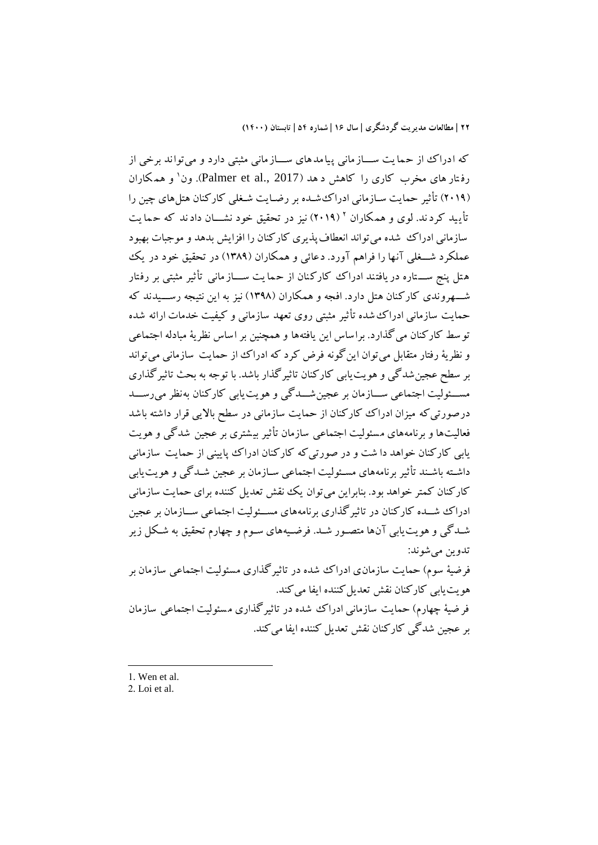که ادراک از حمايت ســـاز ماني پيا مدهای ســـاز ماني مثبتي دارد و مي تواند برخي از رفـتار های مخرب کاری را کاهش د هد (Palmer et al., 2017). ون` و همکاران (٢٠١٩) تأثير حمايت سـازماني ادراکثشـده بر رضـايت شـغلي کارکنان هتلهاي چين را تأييد كردند. لوی و همكاران ' (٢٠١٩) نيز در تحقيق خود نشـــان دادند كه حمايت سازماني ادراک شده مي تواند انعطاف پذيری کارکنان را افزايش بدهد و موجبات بهبود عملکرد شـــغلي آنها را فراهم آورد. دعائي و همکاران (۱۳۸۹) در تحقيق خود در يک هتل پنج ســـتاره در يافتند ادراک کارکنان از حما يت ســـاز مانـي تأثير مثبتي بر رفتار شـــهروندی کارکنان هتل دارد. افجه و همکاران (۱۳۹۸) نيز به اين نتيجه رســـيدند که حمايت سازماني ادراک شده تأثير مثبتي روی تعهد سازماني و کيفيت خدمات ارائه شده توسط کارکنان مي گذارد. براساس اين ي افتهها و همچنين بر اساس نظرية مبادله اجتماعي و نظريهٔ رفتار متقابل مي توان اين گونه فرض کرد که ادراک از حمايت سازماني مي تواند بر سطح عجينشدگي و هويتيابي کارکنان تاثيرگذار باشد. با توجه به بحث تاثيرگذاری مســـئوليت اجتماعي ســـازمان بر عجين شـــدگي و هويت يابي کارکنان به نظر ميررســـد درصورتي که ميزان ادراک ککارکنان از حمايت سازماني در سطح بالايي قرار داشته باشد فعاليتها و برنامههای مسئوليت اجتماعي سازمان تأثير بيشتری بر عجين شدگي و هويت يابي کارکنان خواهد دا شت و در صورت يکه کارکنان ادراک پاييني از حمايت سازماني داشـته باشـند تأثير برنامههای مسـئوليت اجتماعي سـازمان بر عجين شـدگي و هويت يابي کارکنان کمتر خواهد بود. بنابراين مي توان يک نقش تعديل کننده برای حمايت سازماني ادراک شسده کارکنان در تاثيرگذاری برنامههای مســئوليت اجتماعي ســازمان بر عجين شودگي و هويتيابي آنها متصوور شود. فرضويههای سووم و چهارم تحقيق به شوکل زير تدوين ميشوند: فرضيهٔ سوم) حمايت سازمان ی ادراک شده در تاثيرگذاری مسئوليت اجتماعي سازمان بر هويت يابي کارکنان نقش تعديل کننده ايفا مي کند.

فر ضيهٔ چهارم) حمايت سازماني ادراک شده در تاثيرگذاری مسئوليت اجتماعي سازمان بر عجين شدگي کارکنان نقش تعديل کننده ايفا ميکند.

1. Wen et al.

-

2. Loi et al.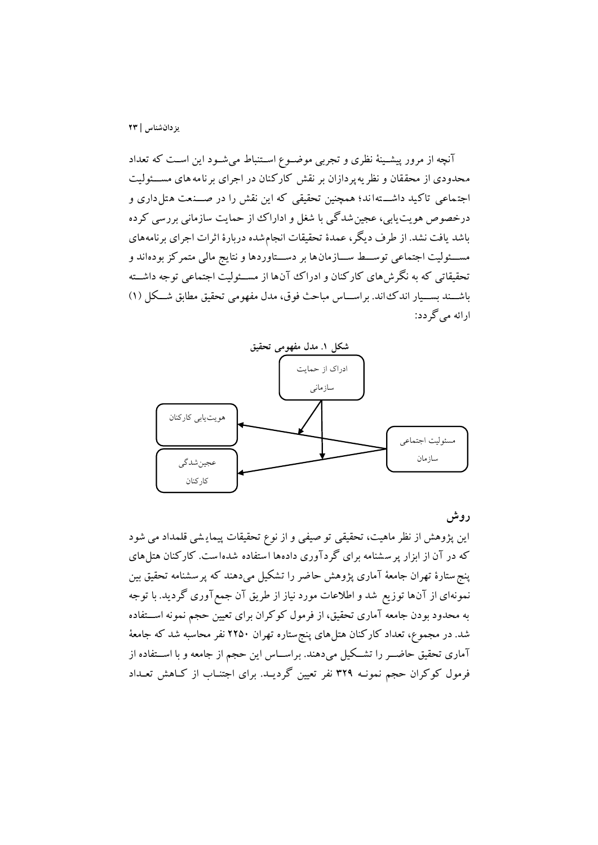آنچه از مرور پيشـينهٔ نظری و تجربي موضـوع اسـتنباط ميشـود اين اسـت که تعداد محدودی از محققان و نظر په پردازان بر نقش کارکنان در اجرای برنامه های مســـئوليت اجتماعي تاکيد داشته اند؛ همچنين تحقيقي که اين نقش را در صــنعت هتل داری و درخصوص هويت يابي، عجين شدگي با شغل و اداراک از حمايت سازماني بررسي کرده باشد يافت نشد. از طرف ديگر، عمدۀ تحقيقات انجام شده دربارۀ اثرات اجرای برنامههای مســـئوليت اجتماعي توســـط ســــازمان۱ها بر دســـتاوردها و نتايج مالي متمرکز بودهاند و تحقيقاتي که به نگرشهای کارکنان و ادراک آنها از مســئوليت اجتماعي توجه داشــته باشــند بســيار اندک اند. براســاس مباحث فوق، مدل مفهومي تحقيق مطابق شــکل (١) ارائه ميگردد:



### **روش**

اين پژوهش از نظر ماهيت، تحقيقي تو صيفي و از نوع تحقيقات پيماي شي قلمداد مي شود که در آن از ابزار پر سشنامه برای گردآوری دادهها استفاده شدهاست. کارکنان هتل های پنجستارۀ تهران جامعة آماری پژوهش حاضر را تشکيل ميدهند که پرسشنامه تحقيق بين نمونهای از آنها توزيع شد و اطالعات مورد نياز از طريق آن جمعآوری گرديد. با توجه به محدود بودن جامعه آماری تحقيق، از فرمول کوکران برای تعيين حجم نمونه اســتفاده شد. در مجموع، تعداد کارکنان هتلهای پنجستاره تهران 22۵0 نفر محاسبه شد که جامعة آماری تحقيق حاضــر را تشــکيل ميدهند. براســاس اين حجم از جامعه و با اســتفاده از فرمول کوکران حجم نمونـه ٣٢٩ نفر تعيين گرديـد. برای اجتنــاب از کــاهش تعــداد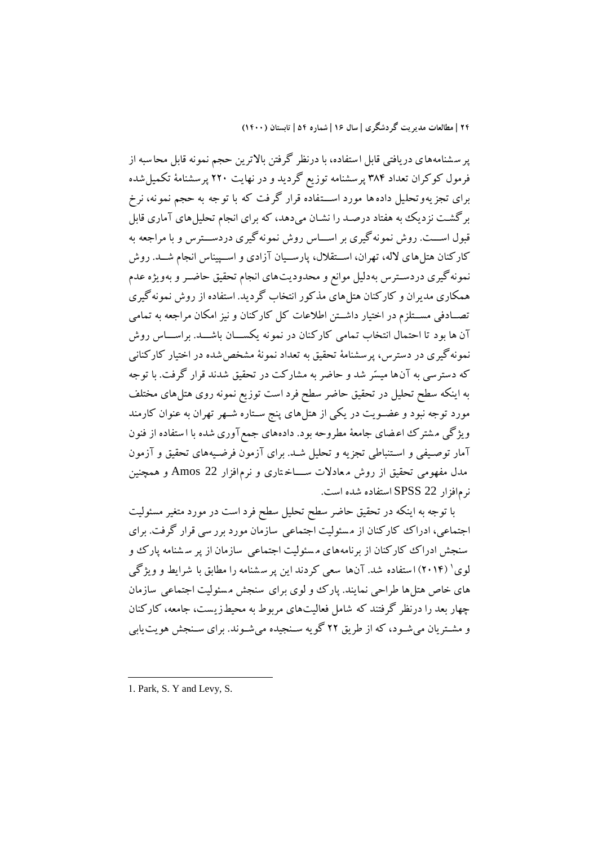پر سشنامههای دريافتي قابل استفاده، با درنظر گرفتن بالاترين حجم نمونه قابل محاسبه از فرمول کوکران تعداد 38۴ پرسشنامه توزيع گرديد و در نهايت 220 پرسش نامة تکميلشده برای تجزيهوتحليل دادهها مورد اســـتفاده قرار گرفت که با توجه به حجم نمونه، نرخ برگشت نزديک به هفتاد درصد را نشـان ميدهد، که برای انجام تحليلهای آماری قابل قبول اســت. روش نمونه گيری بر اســـاس روش نمونه گيری دردســـترس و با مراجعه به کارکنان هتلهای لاله، تهران، اسـتقلال، پارسـيان آزادی و اسـپيناس انجام شــد. روش نمونهگيری دردسـترس بهدليل موانع و محدوديتهای انجام تحقيق حاضـر و بهويژه عدم همکاری مديران و کارکنان هتلهای مذکور انتخاب گرديد. استفاده از روش نمونهگيری تصـادفي مســتلزم در اختيار داشــتن اطلاعات کل کارکنان و نيز امکان مراجعه به تمامي آن ها بود تا احتمال انتخاب تمامی کارکنان در نمونه یکســان باشـــد. براســـاس روش نمونه گيری در دسترس، پرسشنامهٔ تحقيق به تعداد نمونهٔ مشخص شده در اختيار کارکناني که دسترسي به آن ها ميسّر شد و حاضر به مشارکت در تحقيق شدند قرار گ رفت. با توجه به اينکه سطح تحليل در تحقيق حاضر سطح فرد است توزيع نمونه روی هتلهای مختلف مورد توجه نبود و عضـویت در یکی از هتلهای پنج سـتاره شـهر تهران به عنوان کارمند ويژگي م شترک اع ضای جامعة مطروحه بود. دادههای جمعآوریشده با ا ستفاده از فنون آمار توصـيفي و اسـتنباطي تجزيه و تحليل شـد. برای آزمون فرضـيههای تحقيق و آزمون مدل مفهومي تحقيق از روش م عادلات ســـاختاری و نرم افزار 22 Amos و همچنين نرمافزار 22 SPSS استفاده شده است.

با توجه به اينکه در تحقيق حاضر سطح تحليل سطح فرد است در مورد متیير مسئوليت اجتماعي، ادراک کارکنان از مسئوليت اجتماعي سازمان مورد برر سي قرار گرفت. براي سنجش ادراک ککارکنان از برنامههای مسئولیت اجتماعی سازمان از پر سشنامه پارک و لوی' (۲۰۱۴) استفاده شد. آنها سعی کردند اين پر سشنامه را مطابق با شرايط و ويژگی های خاص هتلها طراحي نمايند. پارک و لوی برای سنجش م سئوليت اجتماعي سازمان چهار بعد را درنظر گرفتند که شامل فعاليتهای مربوط به محيطزي ست، جامعه، کار کنان و مشتريان مي شـود، که از طريق ٢٢ گويه سـنجيده مي شـوند. براي سـنجش هويت يابي

<sup>1.</sup> Park, S. Y and Levy, S.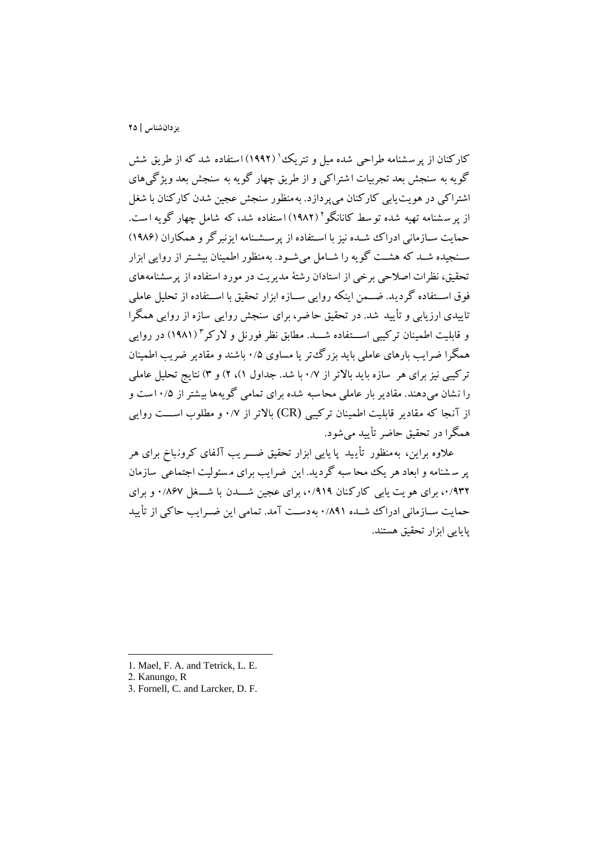کارکنان از پر سشنامه طراحی شده میل و تتریک ْ' (۱۹۹۲) استفاده شد که از طریق شش گويه به سنجش بعد تجربيات ا شتراکي و از طريق چهار گويه به سنجش بعد ويژگيهای اشتراکي در هويتيابي کارکنان ميپردازد. بهمنظور سنجش عجين شدن کارکنان با شیل از پر سشنامه تهیه شده تو سط کانانگو ' (۱۹۸۲) استفاده شد، که شامل چهار گویه است. حمايت سـازماني ادراک شـده نيز با اسـتفاده از پرسـشـنامه ايزنبرگر و همکاران (۱۹۸۶) سـنجيده شــد که هشــت گويه را شــامل ميشــود. بهمنظور اطمينان بيشــتر از روايي ابزار تحقيق، نظرات اصالحي برخي از استادان رشتة مديريت در مورد استفاده از پرسشنامههای فوق اســتفاده گرديد. ضــمن اينکه روايي ســازه ابزار تحقيق با اســتفاده از تحليل عاملي تاييدی ارزيابي و تأييد شد. در تحقيق حا ضر، برای سنجش روايي سازه از روايي همگرا و قابليت اطمينان تركيبي اســـتفاده شــــد. مطابق نظر فورنل و لاركر " (١٩٨١) در روايي همگرا ضرايب بارهای عاملي بايد بزرگ تر يا مساوی 0/۵ باشند و مقادير ضريب اطمينان ترکيبي نيز برای هر سازه بايد باالتر از 0/۷ با شد. جداول 1(، 2( و 3( نتايج تحليل عاملي را نشان ميدهند. مقادير بار عاملي محاسبه شده براي تمامي گويهها بيشتر از ۱۰/۵ست و از آنجا که مقادير قابليت اطمينان ترکيبي (CR) بالاتر از ۰/۷ و مطلوب اســـت روايي همگرا در تحقيق حاضر تأييد ميشود.

علاوه براين، به منظور تأييد پا يايي ابزار تحقيق ضـــريب آلفای کرونباخ برای هر پر س شنامه و ابعاد هر يک محا سبه گرديد. اين ضرايب برای م سئوليت اجتماعي سازمان ،0/932 برای هو يت يابي کارکنان ،0/919 برای عجين شووودن با شووو یل 0/8۶۷ و برای حمايت ســازماني ادراک شــده ٨٩١/ بهدسـت آمد. تمامي اين ضــرايب حاکي از تأييد پايايي ابزار تحقيق هستند.

**.** 

<sup>1.</sup> Mael, F. A. and Tetrick, L. E.

<sup>2.</sup> Kanungo, R

<sup>3.</sup> Fornell, C. and Larcker, D. F.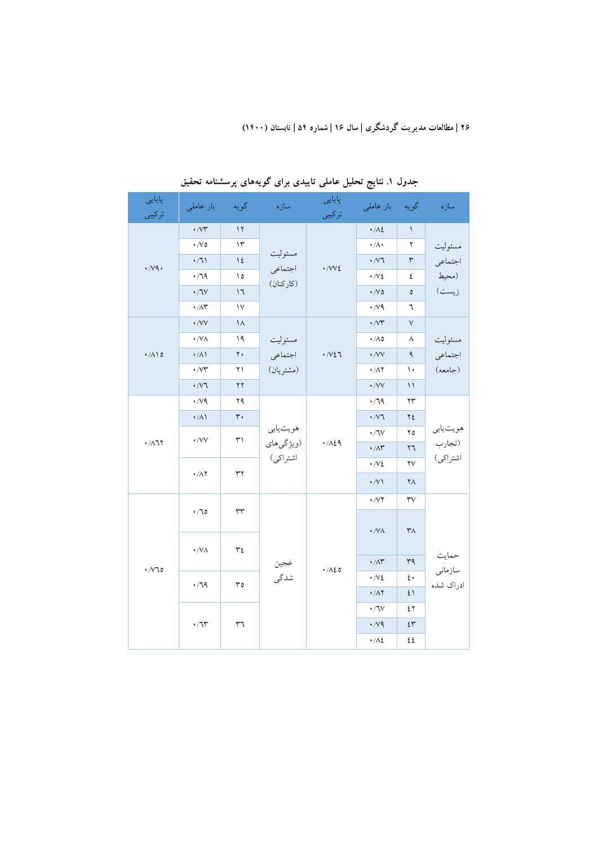| پایایی<br>تركيبي     | بار عاملی                                            | گويه                              | سازه                              | پایایی<br>تركيبي              | بار عاملی                                            | گويه                   | سازه                           |
|----------------------|------------------------------------------------------|-----------------------------------|-----------------------------------|-------------------------------|------------------------------------------------------|------------------------|--------------------------------|
| $\cdot$ /vq.         | $\boldsymbol{\cdot}$ /<br>V٣                         | $\mathcal{N}$                     | مسئوليت<br>اجتماعي<br>(كاركنان)   | $\cdot$ /VV $\xi$             | $\cdot/\Lambda$ ٤                                    | $\backslash$           |                                |
|                      | $\cdot$ /V 0                                         | $\gamma$                          |                                   |                               | $\boldsymbol{\cdot}$ /A $\boldsymbol{\cdot}$         | ۲                      | مسئوليت<br>اجتماعي<br>(محيط    |
|                      | $\cdot$ /7)                                          | $\setminus$ {                     |                                   |                               | $\boldsymbol{\cdot}$ /<br>V٦                         | ٣                      |                                |
|                      | $\cdot$ /79                                          | ۱٥                                |                                   |                               | $\cdot/\sqrt{2}$                                     | ٤                      |                                |
|                      | $\boldsymbol{\cdot}$ / $\mathbf{V}$                  | ۱٦                                |                                   |                               | $\cdot$ /V $\circ$                                   | ٥                      | زيست)                          |
|                      | $\boldsymbol{\cdot} / \Lambda \boldsymbol{\Upsilon}$ | $\vee$                            |                                   |                               | $\cdot$ /vq                                          | ٦                      |                                |
|                      | $\cdot$ /VV                                          | $\lambda$                         | مسئوليت<br>اجتماعي<br>(مشتريان)   | $\cdot$ / $\vee$ $\xi$ $\neg$ | $\cdot$ / $\vee\uparrow$                             | $\vee$                 | مسئوليت<br>اجتماعي<br>(جامعه)  |
|                      | $\cdot$ /VA                                          | ۱۹                                |                                   |                               | $\cdot/\Lambda$ 0                                    | ٨                      |                                |
| $\cdot/\Lambda$ 10   | $\cdot/\Lambda$ \                                    | $\mathbf{y}$ .                    |                                   |                               | $\cdot$ /VV                                          | ٩                      |                                |
|                      | $\boldsymbol{\cdot}$ /<br>V٣                         | ۲۱                                |                                   |                               | $\boldsymbol{\cdot}$ /<br>AY                         | ١٠                     |                                |
|                      | $\boldsymbol{\cdot}$ /<br>V٦                         | $\gamma \gamma$                   |                                   |                               | $\boldsymbol{\cdot}$ /VV                             | $\backslash$           |                                |
|                      | $\cdot$ / $\vee$ 9                                   | ۲۹                                | هويتيابي<br>(ویژگیهای<br>اشتراكى) | .74                           | .79                                                  | ۲۳                     | هويتيابي<br>(تجارب<br>اشتراكى) |
|                      | $\cdot/\lambda$                                      | $\mathbf{r}$ .                    |                                   |                               | $\cdot$ / $\vee$ ٦                                   | ۲٤                     |                                |
|                      |                                                      | $\uparrow\uparrow$<br>$\cdot$ /VV |                                   |                               | $\boldsymbol{\cdot}$ / $\mathsf{V}$                  | ۲٥                     |                                |
| $\cdot/\lambda$ ٦٢   |                                                      |                                   |                                   |                               | $\boldsymbol{\cdot} / \Lambda \boldsymbol{\Upsilon}$ | $\mathbf{r}$           |                                |
|                      |                                                      |                                   |                                   |                               | $\cdot$ /V $\epsilon$                                | $\mathsf{Y}\mathsf{V}$ |                                |
|                      | $\cdot/\Lambda$ Y                                    | ٣٢                                |                                   |                               | $\cdot$ /V                                           | $\mathsf{Y}\wedge$     |                                |
| $\cdot$ / $\vee$ 7.0 |                                                      |                                   |                                   | $\cdot$ /VY                   | $\mathsf{r}\mathsf{v}$                               |                        |                                |
|                      | .70<br>$\cdot$ /V $\wedge$                           | $\mathsf{r}\mathsf{r}$<br>٣٤      | عجين                              |                               | $\cdot$ /VA                                          | $\mathsf{r}_\Lambda$   |                                |
|                      |                                                      |                                   |                                   |                               | $\cdot/\Lambda^{\sim}$                               | ٣٩                     | حمايت                          |
|                      | $\cdot$ /79<br>$r_0$                                 | شدگی                              | $\cdot/\lambda\epsilon$ 0         | $\cdot/\sqrt{2}$              | $\mathfrak{c}\,\mathfrak{\textbf{.}}$                | سازمانى                |                                |
|                      |                                                      |                                   |                                   | $\cdot/\Lambda\Upsilon$       | $\mathfrak{t}$ )                                     | ادراک شده              |                                |
|                      | $\boldsymbol{\cdot}$ / $\boldsymbol{\uparrow}$<br>٣٦ |                                   |                                   |                               | $\boldsymbol{\cdot}$ / $\mathsf{V}$                  | ٤٢                     |                                |
|                      |                                                      |                                   |                                   | $\cdot$ /vq                   | ٤٣                                                   |                        |                                |
|                      |                                                      |                                   |                                   |                               | $\cdot/\lambda$                                      | ٤٤                     |                                |

**جدول .1 نتايج تحلیل عاملي تايیدي براي گويههاي پرسشنامه تحقیق**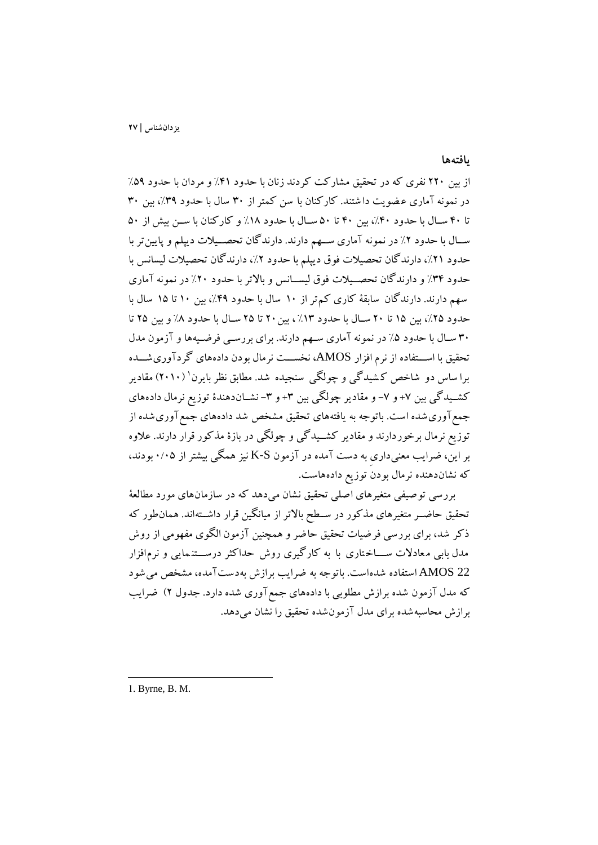**يافتهها**

از بين 220 نفری که در تحقيق مشارکت کردند زنان با حدود %۴1 و مردان با حدود %۵9 در نمونه آماری عضويت دا شتند. کارکنان با سن کمتر از ۳۰ سال با حدود ۳۹٪، بين ۳۰ تا ۴۰ سـال با حدود ۴۰٪، بين ۴۰ تا ۵۰ سـال با حدود ١٨٪ و کارکنان با سـن بيش از ۵۰ ســال با حدود ٢٪ در نمونه آماری ســهم دارند. دارندگان تحصــيلات ديپلم و پايين تر با حدود ،%21 دارندگان تحصيالت فوق ديپلم با حدود ،%2 دارندگان تحصيالت ليسانس با حدود ۳۴٪ و دارندگان تحصـيلات فوق ليســانس و بالاتر با حدود ۲۰٪ در نمونه آماری سهم دارند. دارندگان سابقة کاری کم تر از 10 سال با حدود ،%۴9 بين 10 تا 1۵ سال با حدود ۲۵٪، بين 10 تا ٢٠ سـال با حدود ١٣٪، بين ٢٠ تا ٢٥ سـال با حدود ٨٪ و بين ٢٥ تا 30 سوال با حدود %۵ در نمونه آماری سوهم دارند. برای بررسوي فرضويهها و آزمون مدل تحقيق با اســـتفاده از نرم افزار AMOS، نخســـت نرمال بودن دادههای گردآوریشـــده برا ساس دو شاخص کـشيدگي و چولگي سنجيده شد. مطابق نظر بايرن` (٢٠١٠) مقادير کشـيدگي بين ٧+ و ٧- و مقادير چولگي بين ٣+ و ٣- نشــاندهندۀ توزيع نرمال دادههای جمع آوری شده است. باتوجه به یافتههای تحقیق مشخص شد دادههای جمع آوری شده از توزيع نرمال برخوردارند و مقادير کشــيدگي و چولگي در بازۀ مذکور قرار دارند. علاوه بر اين، ضرايب معنيداری به دست آمده در آزمون S-K نيز همگي بيشتر از 0/0۵ بودند، که نشاندهنده نرمال بودن توزيع دادههاست.

بررسي توصيفي متیيرهای اصلي تحقيق نشان ميدهد که در سازمان های مورد مطالعة تحقيق حاضــر متغيرهای مذکور در ســطح بالاتر از ميانگين قرار داشــتهاند. همانطور که ذکر شد، برای بررسي فرضيات تحقيق حاضر و همچنين آزمون الگوی مفهومي از روش مدل يابي معادلات ســــاختاری با به کارگيری روش حداکثر درســـتنـمايي و نرم|فزار 22 AMOS استفاده شده است. باتوج ه به ضرايب برازش به دست آمده، مشخص ميشود که مدل آزمون شده برازش مطلوبي با دادههای جمعآوری شده دارد. جدول 2( ضرايب برازش محاسبهشده برای مدل آزمونشده تحقيق را نشان ميدهد.

1. Byrne, B. M.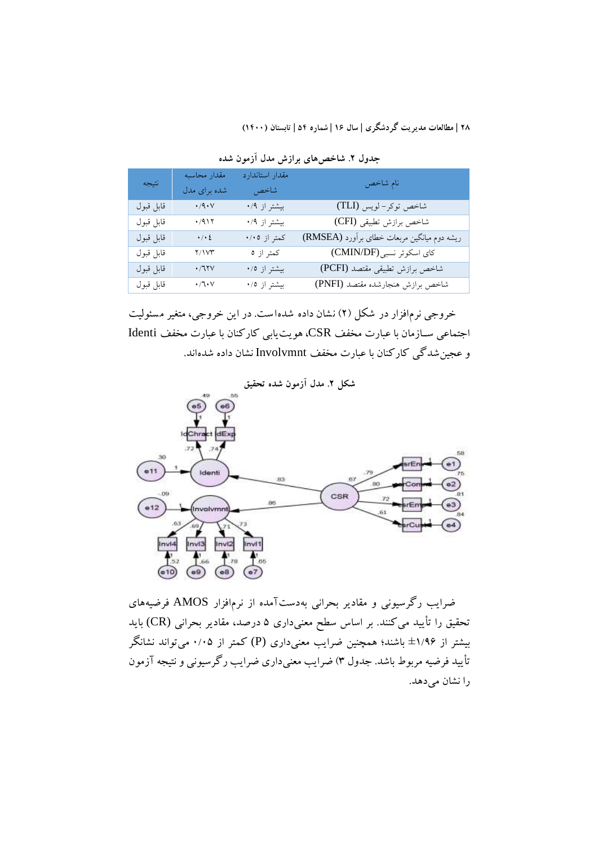| انتيجه    | مقدار محاسبه                                       | مقدار استاندارد | نام شاخص                                    |  |  |
|-----------|----------------------------------------------------|-----------------|---------------------------------------------|--|--|
|           | شده برای مدل                                       | شاخص            |                                             |  |  |
| قابل قبول | $\boldsymbol{\cdot}$ /<br>q $\boldsymbol{\cdot}$ V | بیشتر از ۰/۹    | شاخص توكر-لويس (TLI)                        |  |  |
| قابل قبول | $\cdot$ /91٢                                       | بیشتر از ۰/۹    | شاخص برازش تطبيقى (CFI)                     |  |  |
| قابل قبول | $\cdot$ / $\cdot$ $\acute{\epsilon}$               | کمتر از ۰/۰٥    | ریشه دوم میانگین مربعات خطای برآورد (RMSEA) |  |  |
| قابل قبول | ۲/۱۷۳                                              | كمتر از ٥       | كاي اسكوئر نسبي (CMIN/DF)                   |  |  |
| قابل قبول | $\boldsymbol{\cdot}$ /٦٢٧                          | بیشتر از ۰/٥    | شاخص برازش تطبيقي مقتصد (PCFI)              |  |  |
| قابل قبول | $\cdot/\mathbb{k}\cdot\mathbb{V}$                  | بیشتر از ۰/٥    | شاخص برازش هنجارشده مقتصد (PNFI)            |  |  |

**جدول .2 شاخصهاي برازش مدل آزمون شده**

خروجي نرمافزار در شکل (۲) نشان داده شده است. در اين خروجي، متغير مسئوليت اجتماعي سـازمان با عبارت مخفف CSR، هويت بابي كاركنان با عبارت مخفف Identi و عجينشدگي کارکنان با عبارت مخفف Involvmnt نشان داده شدهاند.



ضرايب رگرسيوني و مقادير بحراني بهدستآمده از نرمافزار AMOS فرضيههای تحقيق را تأييد ميکنند. بر اساس سطح معنيداری ۵ درصد، مقادير بحراني (CR (بايد بيشتر از ±1/9۶ باشند؛ همچنين ضرايب معنيداری (P (کمتر از 0/0۵ ميتواند نشانگر تأييد فرضيه مربوط باشد. جدول 3( ضرايب معنيداری ضرايب رگرسيوني و نتيجه آزمون را نشان ميدهد.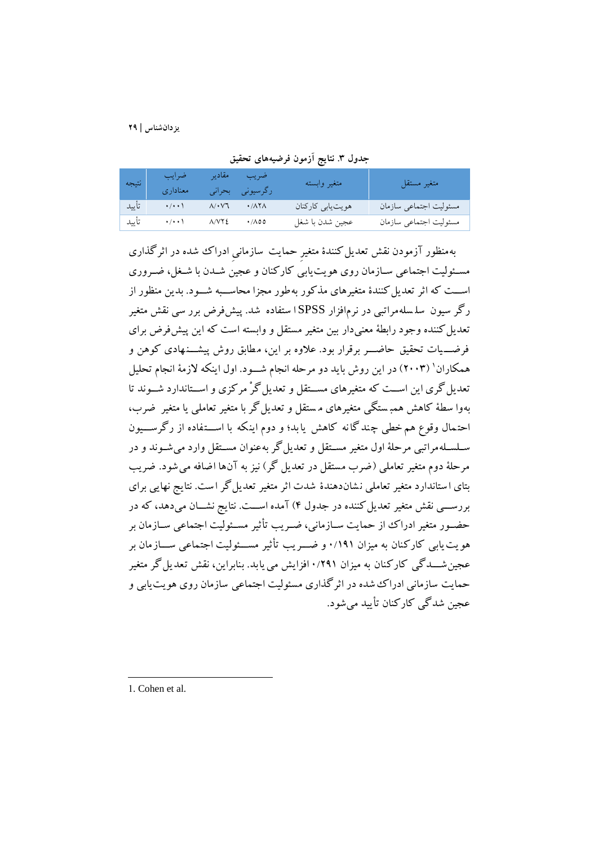| نتيجه | ا ضرایب<br>معناداري             | إضريب مقادير<br>رگرسیونی بحرانی                                              | متغير وابسته      | متغير مستقل            |
|-------|---------------------------------|------------------------------------------------------------------------------|-------------------|------------------------|
| تأييد | $\rightarrow$ / $\rightarrow$ / | $\Lambda/\cdot\,\mathrm{V}\mathrm{T}$ $\cdot/\mathrm{A}\mathrm{T}\mathrm{A}$ | هويت يابي كاركنان | مسئوليت اجتماعي سازمان |
|       | ٨/٧٢٤ - ٨/٧٢٤ - تأييد           |                                                                              | عجين شدن با شغل   | مسئوليت اجتماعي سازمان |

**جدول .3 نتايج آزمون فرضیههاي تحقیق**

بهمنظور آزمودن نقش تعديل کنندۀ متغير حمايت سازماني ادراک شده در اثرگذاری مسئوليت اجتماعي سـازمان روی هويت بابي کارکنان و عجين شــدن با شـغل، ضـروری اســت که اثر تعديل کنندۀ متغيرهای مذکور بهطور مجزا محاســبه شــود. بدين منظور از رگر سيون سل سله مراتبي در نرمافزار SPSS ا ستفاده شد. پيشفرض برر سي نقش متیير تعديل کننده وجود رابطهٔ معنيدار بين متغير مستقل و وابسته است که اين پيشفرض برای فرضــيات تحقيق حاضـــر برقرار بود. علاوه بر اين، مطابق روش پيشـــنـهادی کوهن و همکاران' (۲۰۰۳) در اين روش بايد دو مرحله انجام شــود. اول اينکه لازمهٔ انجام تحليل تعديل گری اين اســت که متغيرهای مســتقل و تعديل گرْ مرکزی و اســتاندارد شــوند تا بهوا سطهٔ کاهش همبـستگي متغيرهای مستقل و تعديل گر با متغير تعاملي يا متغير ضرب، احتمال وقوع هم خطي چند گا نه کاهش يا بد؛ و دوم اينکه با اســتفاده از رگرســـيون سلسلهمراتبي مرحلهٔ اول متغير مستقل و تعديل گر بهعنوان مستقل وارد مي شـوند و در مرحلهٔ دوم متغير تعاملي (ضرب مستقل در تعديل گر) نيز به آنها اضافه مي شود. ضريب بتای ا ستاندارد متغير تعاملي نشاندهندۀ شدت اثر متغير تعديل گر است. نتايج نهايي برای بررســـي نقش متغير تعديل کننده در جدول ۴) آمده اســـت. نتايج نشـــان ميدهد، که در حضـور متغير ادراک از حمايت ســازماني، ضــريب تأثير مســئوليت اجتماعي ســازمان بر هو يت پابي کارکنان به ميزان ١٩١/١ و ضـــر يب تأثير مســـئوليت اجتماعي ســـازمان بر عجين شـــدگي کارکنان به ميزان ١/٢٩١ افزايش مي يابد. بنابراين، نقش تعد يل گر متغير حمايت سازماني ادراک شده در اثرگذاری مسئوليت اجتماعي سازمان روی هويتيابي و عجين شدگي کارکنان تأييد ميشود.

1. Cohen et al.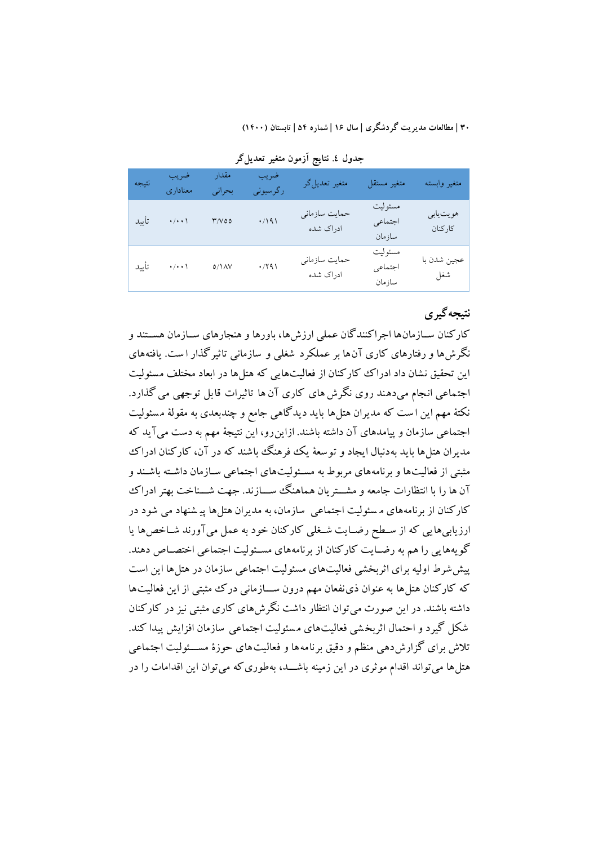| انتيجه | ضريب<br>معناداري   | مقدار<br>بحراني         | ضريب<br>رگرسیونی | متغير تعديل گر             | متغير مستقل                  | متغير وابسته        |
|--------|--------------------|-------------------------|------------------|----------------------------|------------------------------|---------------------|
| تأييد  | $\cdot/\cdot\cdot$ | $\Upsilon/\Upsilon$ o o | .7191            | حمايت سازماني<br>ادراک شده | مسئوليت<br>اجتماعي<br>سازمان | هويتيابي<br>كاركنان |
| تأييد  | $\cdot/\cdot\cdot$ | $\Delta / 1 \Delta V$   | $\cdot$ /۲۹۱     | حمایت سازمانی<br>ادراک شده | مسئوليت<br>اجتماعي<br>سازمان | عجين شدن با<br>شغل  |

**جدول .4 نتايج آزمون متغیر تعديلگر**

## **نتیجهگیري**

کارکنان ســازمانها اجراکنندگان عملی ارزشها، باورها و هنجارهای ســازمان هســتند و نگرشها و رفتارهای کاری آنها بر عملکرد شیلي و سازماني تاثيرگذار ا ست. ي افتههای اين تحقيق نشان داد ادراک کارکنان از فعاليتهايي که هتلها در ابعاد مختلف مسئو ليت اجتماعي انجام ميدهند روی نگرشها ی کاری آن ها تاثيرات قابل توجهي مي گذارد. نکتة مهم اين ا ست که مديران هتلها بايد ديدگاهي جامع و چندبعدی به مقولة م سئوليت اجتماعي سازمان و پيامدهای آن داشته باشند. ازاينرو، اين نتيجة مهم به دست ميآيد که مديران هتلها بايد بهدنبال ايجاد و توسعة يک فرهنگ باشند که در آن، کارکنان ادراک مثبتي از فعاليتها و برنامههای مربوط به مسـئوليتهای اجتماعي سـازمان داشـته باشـند و آن ها را با انتظارات جامعه و مشـــتريان هماهنگ ســـازند. جهت شـــناخت بهتر ادراک کارکنان از برنامههای م سئوليت اجتماعي سازمان، به مديران هتلها پيـ شنهاد مي شود در ارزيابيهايي که از سطح رضـايت شـغلي کارکنان خود به عمل ميآورند شـاخصها يا گويههايي را هم به رضـايت کارکنان از برنامههاي مسـئوليت اجتماعي اختصـاص دهند. پيششرط اوليه برای اثربخشي فعاليتهای مسئوليت اجتماعي سازمان در هتلها اين است که کارکنان هتل ها به عنوان ذي نفعان مهم درون ســازماني درک مثبتي از اين فعاليت ها داشته باشند. در اين صورت ميتوان انتظار داشت نگرشهای کاری مثبتي نيز در کارکنان شکل گيرد و احتمال اثربخ شي فعاليتهای م سئوليت اجتماعي سازمان افزايش پيدا کند . تلاش برای گزارشدهی منظم و دقيق برنامه ها و فعاليت های حوزۀ مســـئوليت اجتماعي هتل ها مي تواند اقدام موثری در اين زمينه باشـــد، بهطوری که مي توان اين اقدامات را در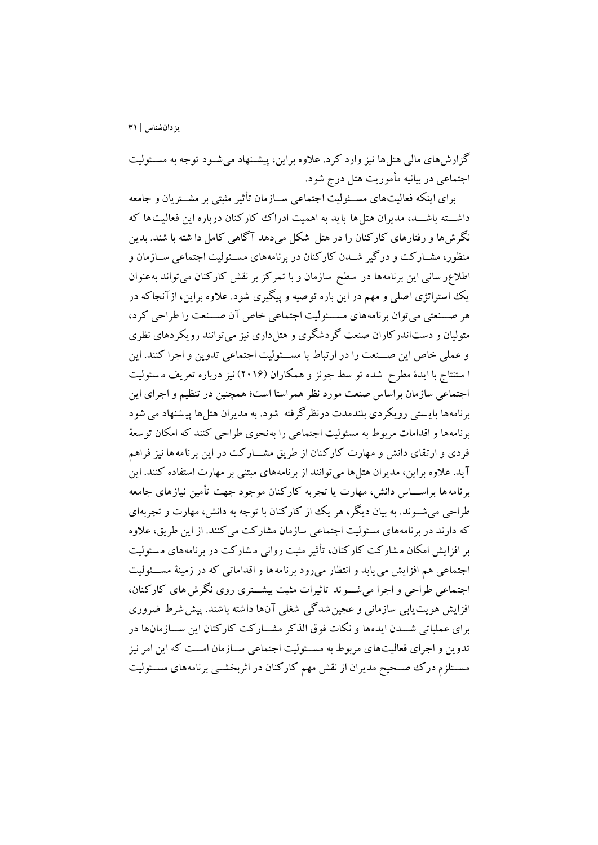گزارشهای مالي هتلها نيز وارد کرد. علاوه براين، پيشـنهاد مي شـود توجه به مسـئوليت اجتماعي در بيانيه مأموريت هتل درج شود.

برای اينکه فعاليتهای مســئوليت اجتماعي ســازمان تأثير مثبتي بر مشــتريان و جامعه داشسته باشسد، مديران هتل ها بايد به اهميت ادراک کارکنان درباره اين فعاليت ها که نگرشها و رفتارهای کارکنان را در هتل شکل ميدهد آگاهي کامل دا شته با شند. بدين منظور، مشــارکت و درگير شــدن کارکنان در برنامههای مســئوليت اجتماعي ســازمان و اطالعر ساني اين برنامهها در سطح سازمان و با تمرکز بر نقش کارکنان ميتواند بهعنوان يک استراتژی اصلي و مهم در اين باره توصيه و پيگيری شود. عالوه براين، ا زآنجاکه در هر صــنعتي مي توان برنامه هاي مســئوليت اجتماعي خاص آن صــنعت را طراحي كرد، متوليان و دستاندرکاران صنعت گردشگری و هتلداری نيز ميتوانند رويکردهای نظری و عملي خاص اين صـنعت را در ارتباط با مسـئوليت اجتماعي تدوين و اجرا كنند. اين ا ستنتاج با ايدۀ مطرش شد ه تو سط جونز و همکاران ) 201۶( نيز درباره تعريف م سئوليت اجتماعي سازمان براساس صنعت مورد نظر همراستا است؛ همچنين در تنظيم و اجرای اين برنامهها بايستي رويکردی بلندمدت درنظرگرفته شود. به مديران هتلها پيشنهاد مي شود برنامهها و اقدامات مربوط به مسئوليت اجتماعي را بهنحوی طراحي کنند که امکان توسعة فردی و ارتقای دانش و مهارت کارکنان از طريق مشــارکت در اين برنامه ها نيز فراهم آيد. عالوه براين، مديران هتلها ميتوانند از برنامههای مبتني بر مهارت استفاده کنند. اين برنامه ها براســـاس دانش، مهارت يا تجربه کارکنان موجود جهت تأمين نيازهای جامعه طراحي مي شــوند. به بيان ديگر، هر يک از کارکنان با توجه به دانش، مهارت و تجربهاي که دارند در برنامههای مسئوليت اجتماعي سازمان مشارکت ميکنند. از اين طريق، عالوه بر افزايش امکان م شارکت کارکنان، تأثير مثبت رواني م شارکت در برنامههای م سئوليت اجتماعي هم افزايش مي يابد و انتظار مي رود برنامه ها و اقداماتي كه در زمينهٔ مســئوليت اجتماعی طراحی و اجرا می شوند تاثیرات مثبت بیشتری روی نگرش های کارکنان، افزايش هويت يابي سازماني و عجين شدگي شغلي آنها داشته باشند. پيش شرط ضروری برای عملياتي شـــدن ايدهها و نکات فوق الذکر مشـــارکت کارکنان اين ســـازمانها در تدوين و اجرای فعاليتهای مربوط به مسـئوليت اجتماعي سـازمان اسـت که اين امر نيز مســتلزم درک صــحيح مديران از نقش مهم کارکنان در اثربخشــي برنامههای مســئوليت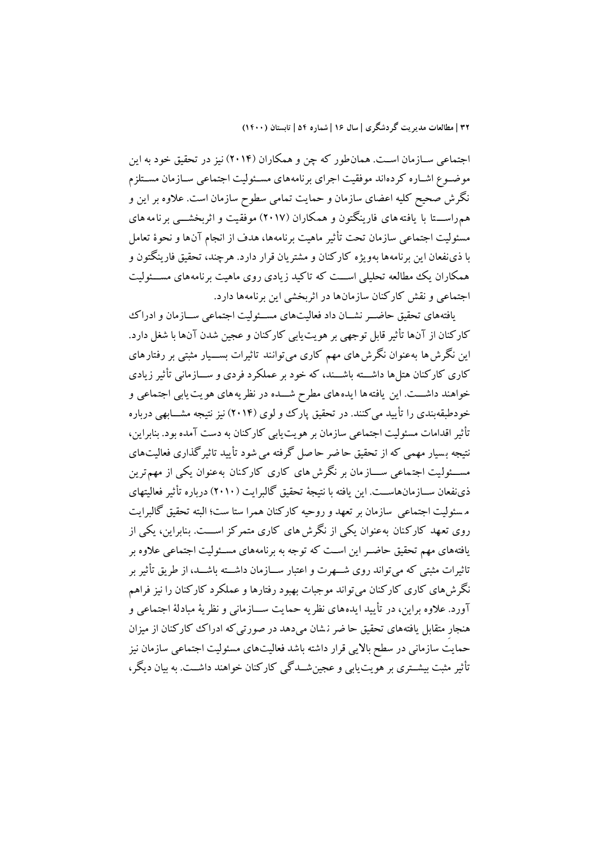اجتماعي ســازمان اســت. همانطور که چن و همکاران (۲۰۱۴) نيز در تحقيق خود به اين موضـوع اشـاره کردهاند موفقيت اجرای برنامههای مسـئوليت اجتماعي سـازمان مسـتلزم نگرش صحيح کليه اعضای سازمان و حمايت تمامي سطوش سازمان است. عالوه بر اين و هم راســـتا با يافته های فارينگتون و همکاران (۲۰۱۷) موفقيت و اثربخشــــی برنامه های مسئوليت اجتماعي سازمان تحت تأثير ماهيت برنامهها، هدف از انجام آنها و نحوۀ تعامل با ذینفعان اين برنامهها بهويژه کارکنان و مشتريان قرار دارد. هرچند، تحقيق فارينگتون و همکاران يک مطالعه تحليلي اســـت که تاکيد زيادی روی ماهيت برنامههای مســـئوليت اجتماعي و نقش کارکنان سازمانها در اثربخشي اين برنامهها دارد.

يافتههای تحقيق حاضـر نشــان داد فعاليتهای مســئوليت اجتماعي ســازمان و ادراک کارکنان از آنها تأثير قابل توجهي بر هويتيابي کارکنان و عجين شدن آنها با شیل دارد. اين نگرش ها به عنوان نگرش های مهم کاری میتوانند تاثيرات بســـيار مثبتي بر رفتارهای کاری کارکنان هتلها داشت باشسند، که خود بر عملکرد فردی و ســـازمانی تأثير زيادی خواهند داشـــت. اين يافته ها ايده های مطرح شـــده در نظريه های هويت يابي اجتماعي و خودطبقهبندی را تأييد مي کنند. در تحقيق پارک وو لوی (۲۰۱۴) نيز نتيجه مشـــابهي درباره تأثير اقدامات مسئوليت اجتماعي سازمان بر هويتيابي کارکنان به دست آمده بود. بنابراين، نتيجه بسيار مهمي که از تحقيق حاضر حاصل گرفته مي شود تأييد تاثيرگذاري فعاليتهاي مســـئوليت اجتـماعي ســــاز مان بر نگرش های کاری کارکنان بهعنوان يکي از مهمترين ذینفعان ســازمانهاســت. اين يافته با نتيجهٔ تحقيق گالبرايت (٢٠١٠) درباره تأثير فعاليتهای م سئوليت اجتماعي سازمان بر تعهد و روحيه کارکنان همرا ستا ست؛ البته تحقيق گالبرايت روی تعهد کارکنان به عنوان يکي از نگرش های کاری متمرکز اســـت. بنابراين، يکي از يافتههای مهم تحقيق حاضـر اين اسـت که توجه به برنامههای مســئوليت اجتماعي علاوه بر تاثيرات مثبتي که مي تواند روی شـــهرت و اعتبار ســـازمان داشــــته باشـــد، از طريق تأثير بر نگرشهای کاری کارکنان میتواند موجبات بهبود رفتارها و عملکرد کارکنان را نيز فراهم آورد. علاوه براين، در تأييد ايدههاي نظريه حمايت ســازماني و نظريهٔ مبادلهٔ اجتماعي و هنجار متقابل يافتههای تحقيق حا ضر ن شان ميدهد در صورت يکه ادراک کارکنان از ميزان حمايت سازماني در سطح بااليي قرار داشته باشد فعاليتهای مسئوليت اجتماعي سازمان نيز تأثير مثبت بيشــتري بر هويت يابي و عجين شــدگي کارکنان خواهند داشــت. به بيان ديگر،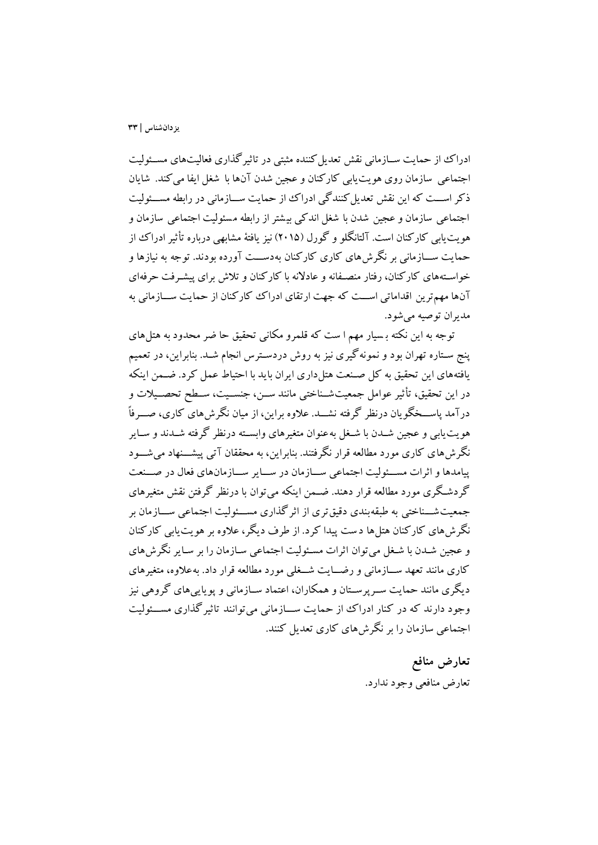ادراک از حمايت ســازماني نقش تعديل کننده مثبتي در تاثير گذاری فعاليتهای مســئوليت اجتماعي سازمان روی هويتيابي کارکنان و عجين شدن آنها با شیل ايفا ميکند. شايان ذکر اســت که اين نقش تعديل کنندگي ادراک از حمايت ســـازماني در رابطه مســئوليت اجتماعي سازمان و عجين شدن با شیل اندکي بي شتر از رابطه م سئوليت اجتماعي سازمان و هويت بابي کارکنان است. آلتانگلو و گورل (٢٠١۵) نيز يافتهٔ مشابهي درباره تأثير ادراک از حمايت ســــازماني بر نگرش،هاي کاري کارکنان به دســـت آورده بودند. توجه به نيازها و خواسـتههای کارکنان، رفتار منصـفانه و عادلانه با کارکنان و تلاش برای پیشـرفت حرفهای آنها مهمترين اقداماتي اســت که جهت ارتقای ادراک ککارکنان از حمايت ســـازماني به مديران توصيه ميشود.

توجه به اين نکته ب سيار مهم ا ست که قلمرو مکاني تحقيق حا ضر محدود به هتلهای پنج سـتاره تهران بود و نمونهگيری نيز به روش دردسـترس انجام شـد. بنابراين، در تعميم يافتههای اين تحقيق به کل صنعت هتلداری ايران بايد با احتياط عمل کرد. ضـمن اينکه در اين تحقيق، تأثير عوامل جمعيت شـناختي مانند ســن، جنســيت، ســطح تحصــيلات و درآمد پاســخگو يان درنظر گرفته نشـــد. علاوه براين، از ميان نگرش های کاری، صـــرفاً هويت يابي و عجين شــدن با شــغل به عنوان متغيرهای وابســته درنظر گرفته شــدند و ســاير نگرش های کاری مورد مطالعه قرار نگرفتند. بنابراین، به محققان آتی پیشـــنهاد می شـــود پيامدها و اثرات مسـئوليت اجتماعي سـازمان در سـاير سـازمانهای فعال در صـنعت گردشگری مورد مطالعه قرار دهند. ضــمن اينکه مي¤وان با درنظر گرفتن نقش متغيرهای جمعيت شـــناختي به طبقه بندي دقيق تری از اثر گذاری مســـئوليت اجتماعي ســـازمان بر نگرشهای کارکنان هتلها د ست پيدا کرد. از طرف ديگر، عالوه بر هويتيابي کارکنان و عجين شـدن با شـغل مي توان اثرات مسـئوليت اجتماعي سـازمان را بر سـاير نگرشهاي کاری مانند تعهد ســـازماني و رضـــايت شـــغلي مورد مطالعه قرار داد. بهعلاوه، متغيرهای ديگری مانند حمايت سـرپرسـتان و همکاران، اعتماد ســازماني و پويايي های گروهي نيز وجود دارند که در کنار ادراک از حمايت ســازماني مي توانند تاثيرگذاري مســئوليت اجتماعي سازمان را بر نگرشهای کاری تعديل کنند.

> **تعارض منافع** تعارض منافعي وجود ندارد.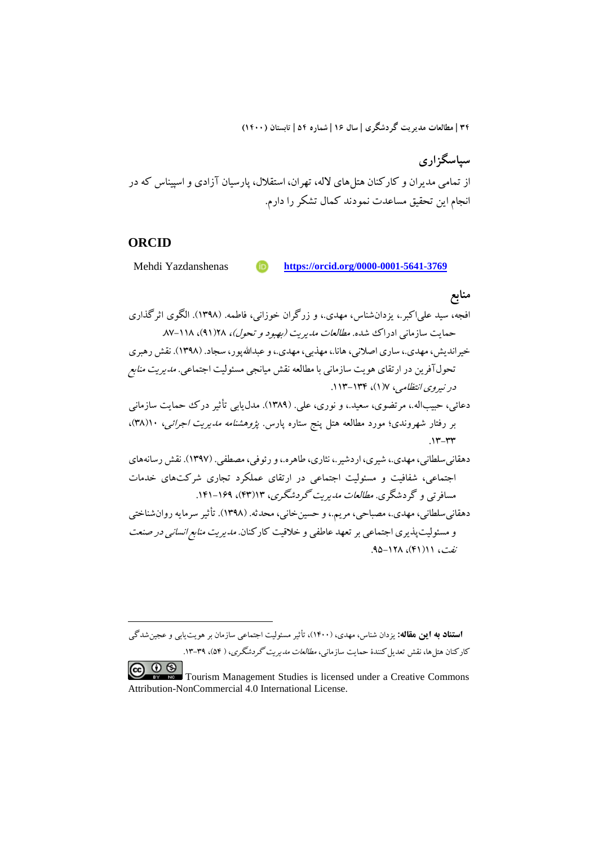**سپاسگزاري** از تمامی مديران و کارکنان هتلهای لاله، تهران، استقلال، پارسيان آزادی و اسپيناس که در 1 انجام اين تحقيق مساعدت نمودند کمال تشکر را دارم.

### **ORCID**

1

Mehdi Yazdanshenas **https://orcid.org/0000-0001-5641-3769**

## **منابع**

افجه، سيد علياکبر،. يزدانشناس، مهدی،. و زرگران خوزاني، فاطمه. )1398(. الگوی اثرگذاری حمايت سازماني ادراك شده. *مطالعات مديريت (بهبود و تحول)، ۱*۱۸(۹)، ۱۱۸–۸۷. خيرانديش، مهدی،. ساری اصالني، هانا،. مهذبي، مهدی،. و عبداهللپور، سجاد. )1398(. نقش رهبری تحولآفرين در ارتقای هويت سازماني با مطالعه نقش ميانجي مسئوليت اجتماعي. مديريت منابع در نيروی انتظامي، ۷)1(، .113-13۴ دعائي، حبيباله.، مرتضوی، سعيد.، و نوری، علي. (١٣٨٩). مدل2يابي تأثير درک حمايت سازماني بر رفتار شهروندی؛ مورد مطالعه هتل پنج ستاره پارس. *پژوهشنامه مدیریت اجرائی،* ۱۰(۳۸)،  $.17 - YY$ دهقانيسلطاني، مهدی،. شيری، اردشير،. نثاری، طاهره،. و رئوفي، مصطفي. )139۷(. نقش رسانههای اجتماعي، شفافيت و مسئوليت اجتماعي در ارتقای عملکرد تجاری شرکتهای خدمات مسافرتي و گردشگری. مطالعات مديريت گردشگری، 13)۴3(، .1۴1-1۶9 دهقاني سلطاني، مهدي.، مصباحي، مريم.، و حسين خاني، محدثه. (١٣٩٨). تأثير سرمايه روان شناختي و مسئوليتپذيری اجتماعي بر تعهد عاطفي و خلاقيت کارکنان. *مديريت منابع انساني در صنعت* نفت، 11)۴1(، .9۵-128

**1استناد به این مقاله:** يزدان شناس، مهدی، )1۴00(، تأثير مسئوليت اجتماعي سازمان بر هويتيابي و عجينشدگي کارکنان هتلها، نقش تعديل کنندۀ حمايت سازماني، *مطالعات مديريت گردشگري*، ( ۵۴)، ۳۹-۱۳.

 $\circledcirc$ Tourism Management Studies is licensed under a Creative Commons Attribution-NonCommercial 4.0 International License.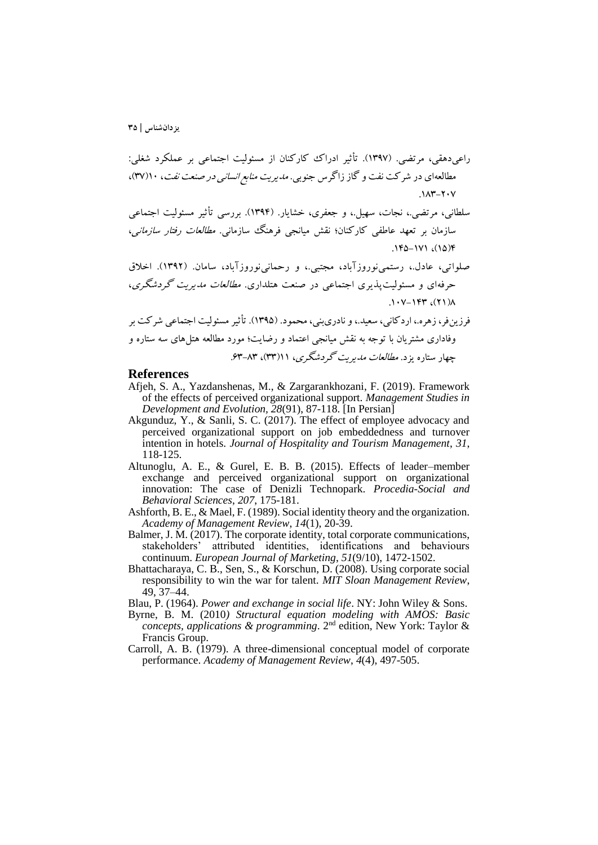راعيدهقي، مرتضي. )139۷(. تأثير ادراک کارکنان از مسئوليت اجتماعي بر عملکرد شیلي: مطالعهای در شرکت نفت و گاز زاگرس جنوبي. مديريت منابع انساني در صنعت نفت، 10)3۷(، .183-20۷

سلطاني، مرتضي،. نجات، سهيل،. و جعفری، خشايار. )139۴(. بررسي تأثير مسئوليت اجتماعي سازمان بر تعهد عاطفي کارکنان؛ نقش ميانجي فرهنگ سازماني. *مطالعات رفتار سازماني*، .1۴۵-1۷1 ،)1۵(۴

صلواتي، عادل،. رستمينوروزآباد، مجتبي،. و رحمانينوروزآباد، سامان. )1392(. اخالق حرفهای و مسئوليتپذيری اجتماعي در صنعت هتلداری. مطالعات مديريت گردشگری،  $.1.1$  $V-1$ ۴۳  $(51)$ 

فرزين فر، زهره.، اردکاني، سعيد.، و نادري بني، محمود. (١٣٩۵). تأثير مسئوليت اجتماعي شرکت بر وفاداری مشتريان با توجه به نقش ميانجي اعتماد و رضايت؛ مورد مطالعه هتلهای سه ستاره و چهار ستاره يزد. *مطالعات مديريت گردشگری*، ۱۱(۳۳)، ۶۳-۶۳.

### **References**

- Afjeh, S. A., Yazdanshenas, M., & Zargarankhozani, F. (2019). Framework of the effects of perceived organizational support. *Management Studies in Development and Evolution, 28*(91), 87-118. [In Persian]
- Akgunduz, Y., & Sanli, S. C. (2017). The effect of employee advocacy and perceived organizational support on job embeddedness and turnover intention in hotels. *Journal of Hospitality and Tourism Management*, *31*, 118-125.
- Altunoglu, A. E., & Gurel, E. B. B. (2015). Effects of leader–member exchange and perceived organizational support on organizational innovation: The case of Denizli Technopark. *Procedia-Social and Behavioral Sciences*, *207*, 175-181.
- Ashforth, B. E., & Mael, F. (1989). Social identity theory and the organization. *Academy of Management Review*, *14*(1), 20-39.
- Balmer, J. M. (2017). The corporate identity, total corporate communications, stakeholders' attributed identities, identifications and behaviours continuum. *European Journal of Marketing*, *51*(9/10), 1472-1502.
- Bhattacharaya, C. B., Sen, S., & Korschun, D. (2008). Using corporate social responsibility to win the war for talent. *MIT Sloan Management Review*, 49, 37–44.

Blau, P. (1964). *Power and exchange in social life*. NY: John Wiley & Sons.

- Byrne, B. M. (2010*) Structural equation modeling with AMOS: Basic concepts, applications & programming*. 2<sup>nd</sup> edition, New York: Taylor & Francis Group.
- Carroll, A. B. (1979). A three-dimensional conceptual model of corporate performance. *Academy of Management Review*, *4*(4), 497-505.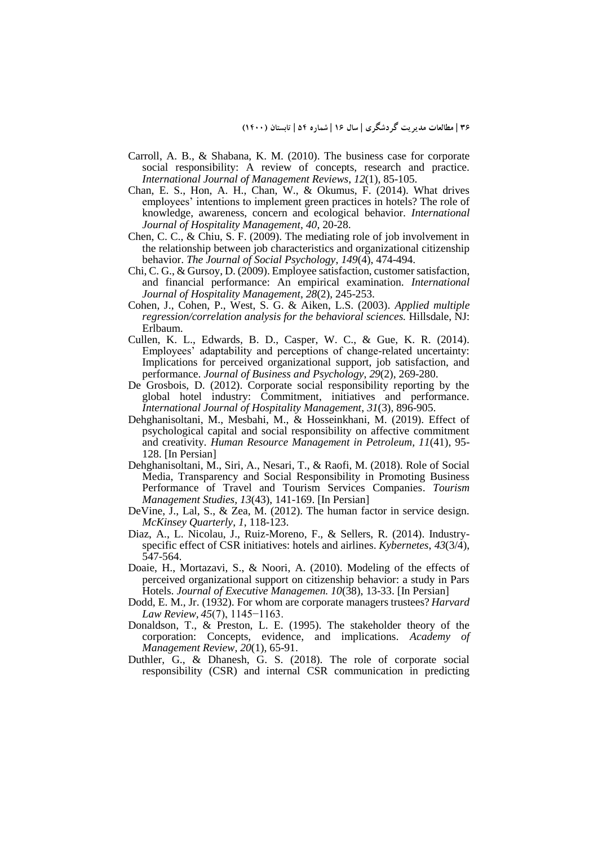- Carroll, A. B., & Shabana, K. M. (2010). The business case for corporate social responsibility: A review of concepts, research and practice. *International Journal of Management Reviews*, *12*(1), 85-105.
- Chan, E. S., Hon, A. H., Chan, W., & Okumus, F. (2014). What drives employees' intentions to implement green practices in hotels? The role of knowledge, awareness, concern and ecological behavior. *International Journal of Hospitality Management*, *40*, 20-28.
- Chen, C. C., & Chiu, S. F. (2009). The mediating role of job involvement in the relationship between job characteristics and organizational citizenship behavior. *The Journal of Social Psychology*, *149*(4), 474-494.
- Chi, C. G., & Gursoy, D. (2009). Employee satisfaction, customer satisfaction, and financial performance: An empirical examination. *International Journal of Hospitality Management*, *28*(2), 245-253.
- Cohen, J., Cohen, P., West, S. G. & Aiken, L.S. (2003). *Applied multiple regression/correlation analysis for the behavioral sciences.* Hillsdale, NJ: Erlbaum.
- Cullen, K. L., Edwards, B. D., Casper, W. C., & Gue, K. R. (2014). Employees' adaptability and perceptions of change-related uncertainty: Implications for perceived organizational support, job satisfaction, and performance. *Journal of Business and Psychology*, *29*(2), 269-280.
- De Grosbois, D. (2012). Corporate social responsibility reporting by the global hotel industry: Commitment, initiatives and performance. *International Journal of Hospitality Management*, *31*(3), 896-905.
- Dehghanisoltani, M., Mesbahi, M., & Hosseinkhani, M. (2019). Effect of psychological capital and social responsibility on affective commitment and creativity. *Human Resource Management in Petroleum, 11*(41), 95- 128. [In Persian]
- Dehghanisoltani, M., Siri, A., Nesari, T., & Raofi, M. (2018). Role of Social Media, Transparency and Social Responsibility in Promoting Business Performance of Travel and Tourism Services Companies. *Tourism Management Studies, 13*(43), 141-169. [In Persian]
- DeVine, J., Lal, S., & Zea, M. (2012). The human factor in service design. *McKinsey Quarterly*, *1*, 118-123.
- Diaz, A., L. Nicolau, J., Ruiz-Moreno, F., & Sellers, R. (2014). Industryspecific effect of CSR initiatives: hotels and airlines. *Kybernetes*, *43*(3/4), 547-564.
- Doaie, H., Mortazavi, S., & Noori, A. (2010). Modeling of the effects of perceived organizational support on citizenship behavior: a study in Pars Hotels. *Journal of Executive Managemen. 10*(38), 13-33. [In Persian]
- Dodd, E. M., Jr. (1932). For whom are corporate managers trustees? *Harvard Law Review, 45*(7), 1145−1163.
- Donaldson, T., & Preston, L. E. (1995). The stakeholder theory of the corporation: Concepts, evidence, and implications. *Academy of Management Review*, *20*(1), 65-91.
- Duthler, G., & Dhanesh, G. S. (2018). The role of corporate social responsibility (CSR) and internal CSR communication in predicting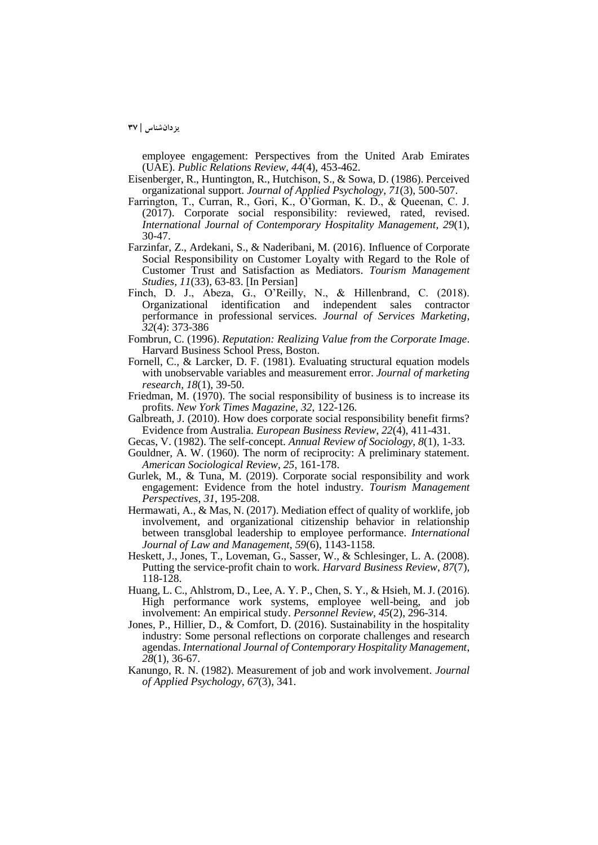employee engagement: Perspectives from the United Arab Emirates (UAE). *Public Relations Review*, *44*(4), 453-462.

- Eisenberger, R., Huntington, R., Hutchison, S., & Sowa, D. (1986). Perceived organizational support. *Journal of Applied Psychology*, *71*(3), 500-507.
- Farrington, T., Curran, R., Gori, K., O'Gorman, K. D., & Queenan, C. J. (2017). Corporate social responsibility: reviewed, rated, revised. *International Journal of Contemporary Hospitality Management*, *29*(1), 30-47.
- Farzinfar, Z., Ardekani, S., & Naderibani, M. (2016). Influence of Corporate Social Responsibility on Customer Loyalty with Regard to the Role of Customer Trust and Satisfaction as Mediators. *Tourism Management Studies, 11*(33), 63-83. [In Persian]
- Finch, D. J., Abeza, G., O'Reilly, N., & Hillenbrand, C. (2018). Organizational identification and independent sales contractor performance in professional services. *Journal of Services Marketing*, *32*(4): 373-386
- Fombrun, C. (1996). *Reputation: Realizing Value from the Corporate Image*. Harvard Business School Press, Boston.
- Fornell, C., & Larcker, D. F. (1981). Evaluating structural equation models with unobservable variables and measurement error. *Journal of marketing research, 18*(1), 39-50.
- Friedman, M. (1970). The social responsibility of business is to increase its profits. *New York Times Magazine*, *32*, 122-126.
- Galbreath, J. (2010). How does corporate social responsibility benefit firms? Evidence from Australia. *European Business Review*, *22*(4), 411-431.
- Gecas, V. (1982). The self-concept. *Annual Review of Sociology*, *8*(1), 1-33.
- Gouldner, A. W. (1960). The norm of reciprocity: A preliminary statement. *American Sociological Review*, *25*, 161-178.
- Gurlek, M., & Tuna, M. (2019). Corporate social responsibility and work engagement: Evidence from the hotel industry. *Tourism Management Perspectives*, *31*, 195-208.
- Hermawati, A., & Mas, N. (2017). Mediation effect of quality of worklife, job involvement, and organizational citizenship behavior in relationship between transglobal leadership to employee performance. *International Journal of Law and Management*, *59*(6), 1143-1158.
- Heskett, J., Jones, T., Loveman, G., Sasser, W., & Schlesinger, L. A. (2008). Putting the service-profit chain to work. *Harvard Business Review*, *87*(7), 118-128.
- Huang, L. C., Ahlstrom, D., Lee, A. Y. P., Chen, S. Y., & Hsieh, M. J. (2016). High performance work systems, employee well-being, and job involvement: An empirical study. *Personnel Review*, *45*(2), 296-314.
- Jones, P., Hillier, D.,  $\&$  Comfort, D. (2016). Sustainability in the hospitality industry: Some personal reflections on corporate challenges and research agendas. *International Journal of Contemporary Hospitality Management*, *28*(1), 36-67.
- Kanungo, R. N. (1982). Measurement of job and work involvement. *Journal of Applied Psychology*, *67*(3), 341.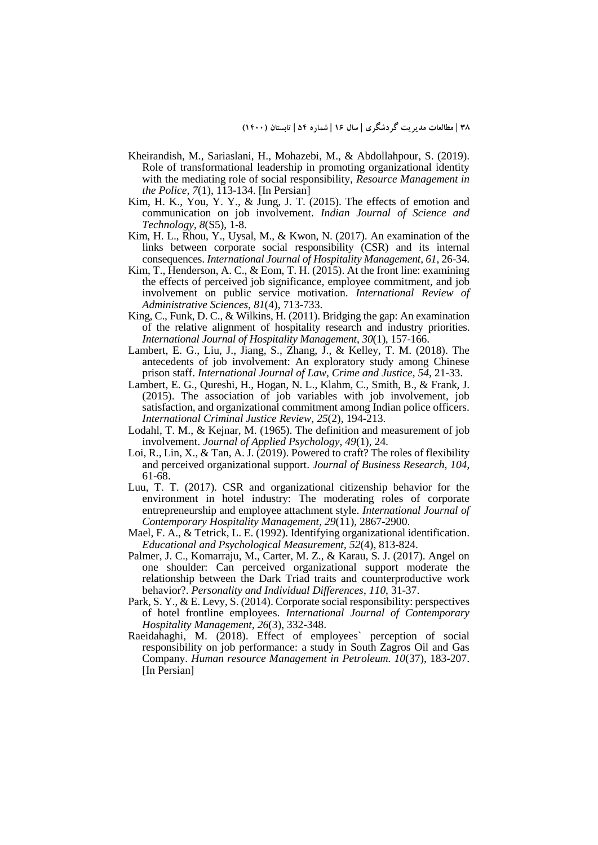- Kheirandish, M., Sariaslani, H., Mohazebi, M., & Abdollahpour, S. (2019). Role of transformational leadership in promoting organizational identity with the mediating role of social responsibility, *Resource Management in the Police, 7*(1), 113-134. [In Persian]
- Kim, H. K., You, Y. Y., & Jung, J. T. (2015). The effects of emotion and communication on job involvement. *Indian Journal of Science and Technology*, *8*(S5), 1-8.
- Kim, H. L., Rhou, Y., Uysal, M., & Kwon, N. (2017). An examination of the links between corporate social responsibility (CSR) and its internal consequences. *International Journal of Hospitality Management*, *61*, 26-34.
- Kim, T., Henderson, A. C., & Eom, T. H. (2015). At the front line: examining the effects of perceived job significance, employee commitment, and job involvement on public service motivation. *International Review of Administrative Sciences*, *81*(4), 713-733.
- King, C., Funk, D. C., & Wilkins, H. (2011). Bridging the gap: An examination of the relative alignment of hospitality research and industry priorities. *International Journal of Hospitality Management*, *30*(1), 157-166.
- Lambert, E. G., Liu, J., Jiang, S., Zhang, J., & Kelley, T. M. (2018). The antecedents of job involvement: An exploratory study among Chinese prison staff. *International Journal of Law, Crime and Justice*, *54*, 21-33.
- Lambert, E. G., Qureshi, H., Hogan, N. L., Klahm, C., Smith, B., & Frank, J. (2015). The association of job variables with job involvement, job satisfaction, and organizational commitment among Indian police officers. *International Criminal Justice Review*, *25*(2), 194-213.
- Lodahl, T. M., & Kejnar, M. (1965). The definition and measurement of job involvement. *Journal of Applied Psychology*, *49*(1), 24.
- Loi, R., Lin, X., & Tan, A. J. (2019). Powered to craft? The roles of flexibility and perceived organizational support. *Journal of Business Research*, *104*, 61-68.
- Luu, T. T. (2017). CSR and organizational citizenship behavior for the environment in hotel industry: The moderating roles of corporate entrepreneurship and employee attachment style. *International Journal of Contemporary Hospitality Management*, *29*(11), 2867-2900.
- Mael, F. A., & Tetrick, L. E. (1992). Identifying organizational identification. *Educational and Psychological Measurement*, *52*(4), 813-824.
- Palmer, J. C., Komarraju, M., Carter, M. Z., & Karau, S. J. (2017). Angel on one shoulder: Can perceived organizational support moderate the relationship between the Dark Triad traits and counterproductive work behavior?. *Personality and Individual Differences*, *110*, 31-37.
- Park, S. Y., & E. Levy, S. (2014). Corporate social responsibility: perspectives of hotel frontline employees. *International Journal of Contemporary Hospitality Management*, *26*(3), 332-348.
- Raeidahaghi, M. (2018). Effect of employees' perception of social responsibility on job performance: a study in South Zagros Oil and Gas Company. *Human resource Management in Petroleum. 10*(37), 183-207. [In Persian]